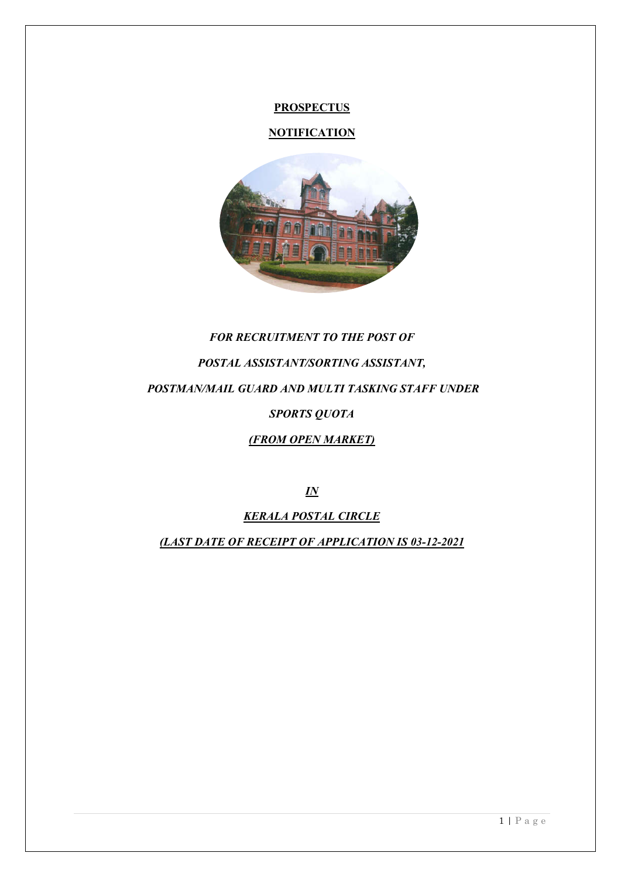#### **PROSPECTUS**

# **NOTIFICATION**



# *FOR RECRUITMENT TO THE POST OF POSTAL ASSISTANT/SORTING ASSISTANT, POSTMAN/MAIL GUARD AND MULTI TASKING STAFF UNDER SPORTS QUOTA (FROM OPEN MARKET)*

*IN* 

*KERALA POSTAL CIRCLE*

*(LAST DATE OF RECEIPT OF APPLICATION IS 03-12-2021*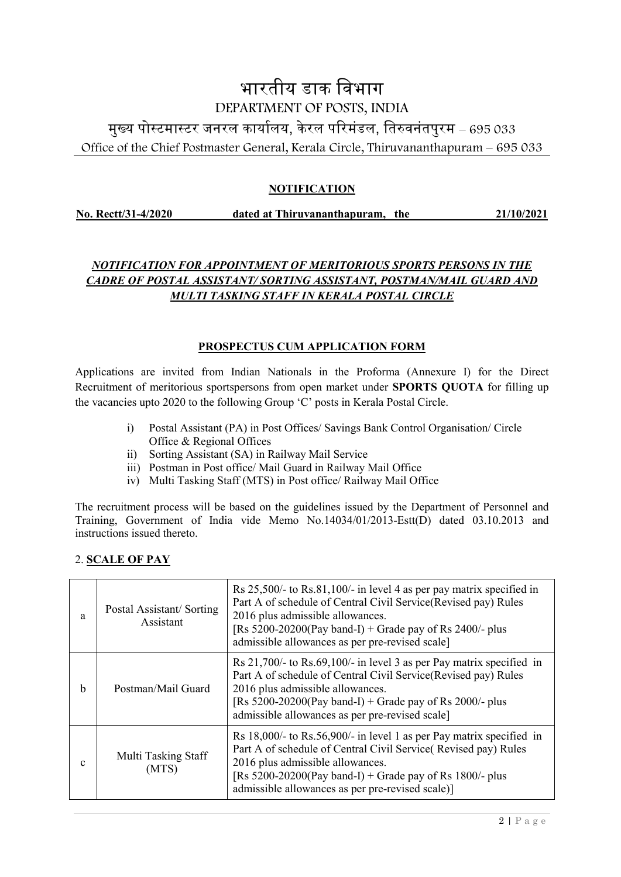# भारतीय डाक िवभाग DEPARTMENT OF POSTS, INDIA मुख्य पोस्टमास्टर जनरल कार्यालय, केरल परिमंडल, तिरुवनंतपुरम – 695 033 Office of the Chief Postmaster General, Kerala Circle, Thiruvananthapuram – 695 033

# **NOTIFICATION**

**No. Rectt/31-4/2020 dated at Thiruvananthapuram, the 21/10/2021**

# *NOTIFICATION FOR APPOINTMENT OF MERITORIOUS SPORTS PERSONS IN THE CADRE OF POSTAL ASSISTANT/ SORTING ASSISTANT, POSTMAN/MAIL GUARD AND MULTI TASKING STAFF IN KERALA POSTAL CIRCLE*

# **PROSPECTUS CUM APPLICATION FORM**

Applications are invited from Indian Nationals in the Proforma (Annexure I) for the Direct Recruitment of meritorious sportspersons from open market under **SPORTS QUOTA** for filling up the vacancies upto 2020 to the following Group 'C' posts in Kerala Postal Circle.

- i) Postal Assistant (PA) in Post Offices/ Savings Bank Control Organisation/ Circle Office & Regional Offices
- ii) Sorting Assistant (SA) in Railway Mail Service
- iii) Postman in Post office/ Mail Guard in Railway Mail Office
- iv) Multi Tasking Staff (MTS) in Post office/ Railway Mail Office

The recruitment process will be based on the guidelines issued by the Department of Personnel and Training, Government of India vide Memo No.14034/01/2013-Estt(D) dated 03.10.2013 and instructions issued thereto.

#### 2. **SCALE OF PAY**

| a | Postal Assistant/Sorting<br>Assistant | Rs $25,500/$ - to Rs.81,100/- in level 4 as per pay matrix specified in<br>Part A of schedule of Central Civil Service(Revised pay) Rules<br>2016 plus admissible allowances.<br>[Rs $5200-20200$ (Pay band-I) + Grade pay of Rs 2400/- plus<br>admissible allowances as per pre-revised scale]   |
|---|---------------------------------------|---------------------------------------------------------------------------------------------------------------------------------------------------------------------------------------------------------------------------------------------------------------------------------------------------|
| h | Postman/Mail Guard                    | Rs 21,700/- to Rs.69,100/- in level 3 as per Pay matrix specified in<br>Part A of schedule of Central Civil Service(Revised pay) Rules<br>2016 plus admissible allowances.<br>[Rs $5200-20200$ (Pay band-I) + Grade pay of Rs 2000/- plus<br>admissible allowances as per pre-revised scale]      |
| c | Multi Tasking Staff<br>(MTS)          | Rs $18,000/$ - to Rs.56,900/- in level 1 as per Pay matrix specified in<br>Part A of schedule of Central Civil Service (Revised pay) Rules<br>2016 plus admissible allowances.<br>[Rs $5200-20200$ (Pay band-I) + Grade pay of Rs 1800/- plus<br>admissible allowances as per pre-revised scale)] |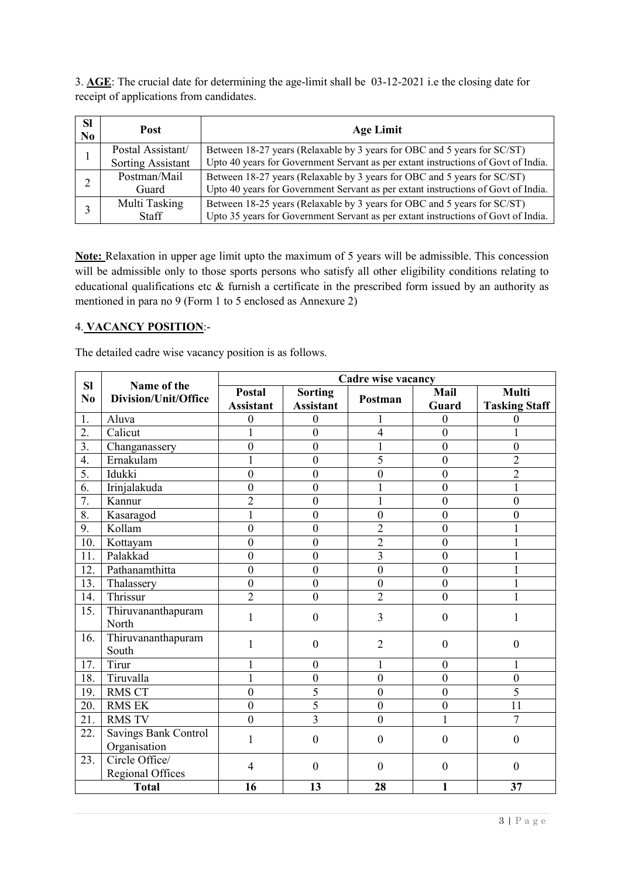3. **AGE**: The crucial date for determining the age-limit shall be 03-12-2021 i.e the closing date for receipt of applications from candidates.

| <b>SI</b><br>N <sub>0</sub> | <b>Post</b>                                   | <b>Age Limit</b>                                                                                                                                              |
|-----------------------------|-----------------------------------------------|---------------------------------------------------------------------------------------------------------------------------------------------------------------|
|                             | Postal Assistant/<br><b>Sorting Assistant</b> | Between 18-27 years (Relaxable by 3 years for OBC and 5 years for SC/ST)<br>Upto 40 years for Government Servant as per extant instructions of Govt of India. |
|                             | Postman/Mail<br>Guard                         | Between 18-27 years (Relaxable by 3 years for OBC and 5 years for SC/ST)<br>Upto 40 years for Government Servant as per extant instructions of Govt of India. |
|                             | Multi Tasking<br><b>Staff</b>                 | Between 18-25 years (Relaxable by 3 years for OBC and 5 years for SC/ST)<br>Upto 35 years for Government Servant as per extant instructions of Govt of India. |

**Note:** Relaxation in upper age limit upto the maximum of 5 years will be admissible. This concession will be admissible only to those sports persons who satisfy all other eligibility conditions relating to educational qualifications etc  $\&$  furnish a certificate in the prescribed form issued by an authority as mentioned in para no 9 (Form 1 to 5 enclosed as Annexure 2)

#### 4. **VACANCY POSITION**:-

The detailed cadre wise vacancy position is as follows.

| Cadre wise vacancy<br><b>SI</b><br>Name of the |                                           |                                   |                                    |                  |                  |                                      |
|------------------------------------------------|-------------------------------------------|-----------------------------------|------------------------------------|------------------|------------------|--------------------------------------|
| N <sub>0</sub>                                 | Division/Unit/Office                      | <b>Postal</b><br><b>Assistant</b> | <b>Sorting</b><br><b>Assistant</b> | Postman          | Mail<br>Guard    | <b>Multi</b><br><b>Tasking Staff</b> |
| 1.                                             | Aluva                                     | $\boldsymbol{0}$                  | $\boldsymbol{0}$                   |                  | $\theta$         | 0                                    |
| $\overline{2}$ .                               | Calicut                                   | 1                                 | $\overline{0}$                     | $\overline{4}$   | $\overline{0}$   | $\mathbf{1}$                         |
| $\overline{3}$ .                               | Changanassery                             | $\overline{0}$                    | $\mathbf{0}$                       |                  | $\mathbf{0}$     | $\mathbf{0}$                         |
| $\overline{4}$ .                               | Ernakulam                                 | 1                                 | $\boldsymbol{0}$                   | 5                | $\boldsymbol{0}$ | $\overline{2}$                       |
| 5.                                             | Idukki                                    | $\mathbf{0}$                      | $\boldsymbol{0}$                   | $\boldsymbol{0}$ | $\boldsymbol{0}$ | $\overline{2}$                       |
| 6.                                             | Irinjalakuda                              | $\overline{0}$                    | $\mathbf{0}$                       | 1                | $\mathbf{0}$     | $\mathbf{1}$                         |
| 7.                                             | Kannur                                    | $\overline{2}$                    | $\boldsymbol{0}$                   | $\mathbf{1}$     | $\boldsymbol{0}$ | $\mathbf{0}$                         |
| 8.                                             | Kasaragod                                 | $\mathbf{1}$                      | $\boldsymbol{0}$                   | $\boldsymbol{0}$ | $\boldsymbol{0}$ | $\mathbf{0}$                         |
| $\overline{9}$ .                               | Kollam                                    | $\boldsymbol{0}$                  | $\mathbf{0}$                       | $\overline{2}$   | $\mathbf{0}$     | 1                                    |
| 10.                                            | Kottayam                                  | $\mathbf{0}$                      | $\mathbf{0}$                       | $\overline{2}$   | $\boldsymbol{0}$ | $\mathbf{1}$                         |
| 11.                                            | Palakkad                                  | $\mathbf{0}$                      | $\mathbf{0}$                       | $\overline{3}$   | $\boldsymbol{0}$ | 1                                    |
| 12.                                            | Pathanamthitta                            | $\mathbf{0}$                      | $\boldsymbol{0}$                   | $\boldsymbol{0}$ | $\boldsymbol{0}$ |                                      |
| 13.                                            | Thalassery                                | $\mathbf{0}$                      | $\boldsymbol{0}$                   | $\mathbf{0}$     | $\boldsymbol{0}$ |                                      |
| 14.                                            | Thrissur                                  | $\overline{2}$                    | $\mathbf{0}$                       | $\overline{2}$   | $\overline{0}$   | 1                                    |
| 15.                                            | Thiruvananthapuram<br>North               | 1                                 | $\boldsymbol{0}$                   | 3                | $\boldsymbol{0}$ |                                      |
| 16.                                            | Thiruvananthapuram<br>South               | 1                                 | $\boldsymbol{0}$                   | $\overline{2}$   | $\boldsymbol{0}$ | $\boldsymbol{0}$                     |
| 17.                                            | Tirur                                     |                                   | $\boldsymbol{0}$                   | 1                | $\boldsymbol{0}$ | 1                                    |
| 18.                                            | Tiruvalla                                 | 1                                 | $\boldsymbol{0}$                   | $\mathbf{0}$     | $\boldsymbol{0}$ | $\mathbf{0}$                         |
| 19.                                            | <b>RMS CT</b>                             | $\mathbf{0}$                      | $\overline{5}$                     | $\overline{0}$   | $\boldsymbol{0}$ | 5                                    |
| 20.                                            | <b>RMS EK</b>                             | $\mathbf{0}$                      | $\overline{5}$                     | $\boldsymbol{0}$ | $\boldsymbol{0}$ | 11                                   |
| 21.                                            | <b>RMS TV</b>                             | $\mathbf{0}$                      | $\overline{3}$                     | $\mathbf{0}$     | 1                | 7                                    |
| 22.                                            | Savings Bank Control<br>Organisation      | 1                                 | $\overline{0}$                     | $\mathbf{0}$     | $\mathbf{0}$     | $\overline{0}$                       |
| 23.                                            | Circle Office/<br><b>Regional Offices</b> | $\overline{4}$                    | $\mathbf{0}$                       | $\mathbf{0}$     | $\boldsymbol{0}$ | $\mathbf{0}$                         |
|                                                | <b>Total</b>                              | 16                                | 13                                 | 28               | 1                | 37                                   |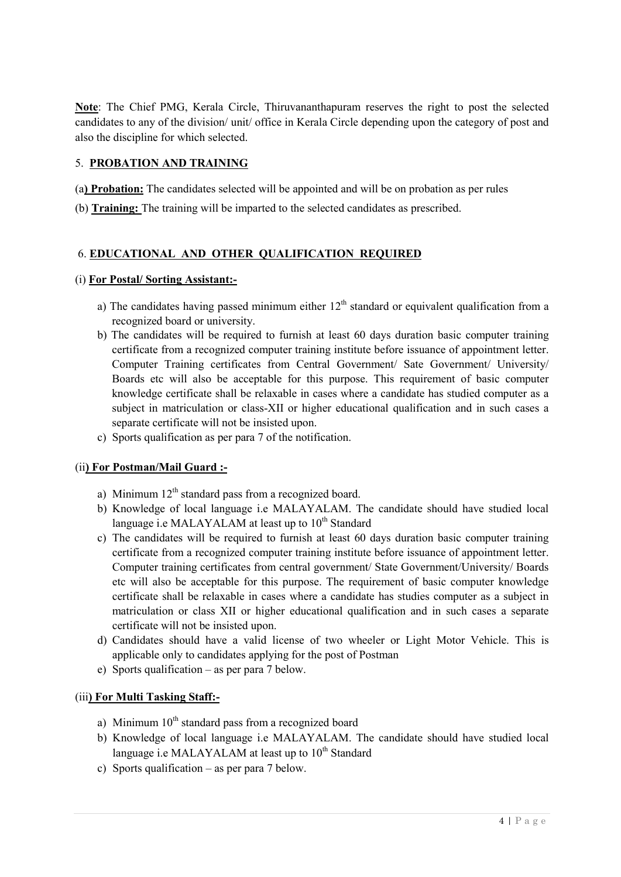**Note**: The Chief PMG, Kerala Circle, Thiruvananthapuram reserves the right to post the selected candidates to any of the division/ unit/ office in Kerala Circle depending upon the category of post and also the discipline for which selected.

#### 5. **PROBATION AND TRAINING**

(a**) Probation:** The candidates selected will be appointed and will be on probation as per rules

(b) **Training:** The training will be imparted to the selected candidates as prescribed.

### 6. **EDUCATIONAL AND OTHER QUALIFICATION REQUIRED**

#### (i) **For Postal/ Sorting Assistant:-**

- a) The candidates having passed minimum either  $12<sup>th</sup>$  standard or equivalent qualification from a recognized board or university.
- b) The candidates will be required to furnish at least 60 days duration basic computer training certificate from a recognized computer training institute before issuance of appointment letter. Computer Training certificates from Central Government/ Sate Government/ University/ Boards etc will also be acceptable for this purpose. This requirement of basic computer knowledge certificate shall be relaxable in cases where a candidate has studied computer as a subject in matriculation or class-XII or higher educational qualification and in such cases a separate certificate will not be insisted upon.
- c) Sports qualification as per para 7 of the notification.

#### (ii**) For Postman/Mail Guard :-**

- a) Minimum  $12<sup>th</sup>$  standard pass from a recognized board.
- b) Knowledge of local language i.e MALAYALAM. The candidate should have studied local language i.e MALAYALAM at least up to  $10^{th}$  Standard
- c) The candidates will be required to furnish at least 60 days duration basic computer training certificate from a recognized computer training institute before issuance of appointment letter. Computer training certificates from central government/ State Government/University/ Boards etc will also be acceptable for this purpose. The requirement of basic computer knowledge certificate shall be relaxable in cases where a candidate has studies computer as a subject in matriculation or class XII or higher educational qualification and in such cases a separate certificate will not be insisted upon.
- d) Candidates should have a valid license of two wheeler or Light Motor Vehicle. This is applicable only to candidates applying for the post of Postman
- e) Sports qualification as per para 7 below.

#### (iii**) For Multi Tasking Staff:-**

- a) Minimum  $10<sup>th</sup>$  standard pass from a recognized board
- b) Knowledge of local language i.e MALAYALAM. The candidate should have studied local language i.e MALAYALAM at least up to  $10<sup>th</sup>$  Standard
- c) Sports qualification as per para 7 below.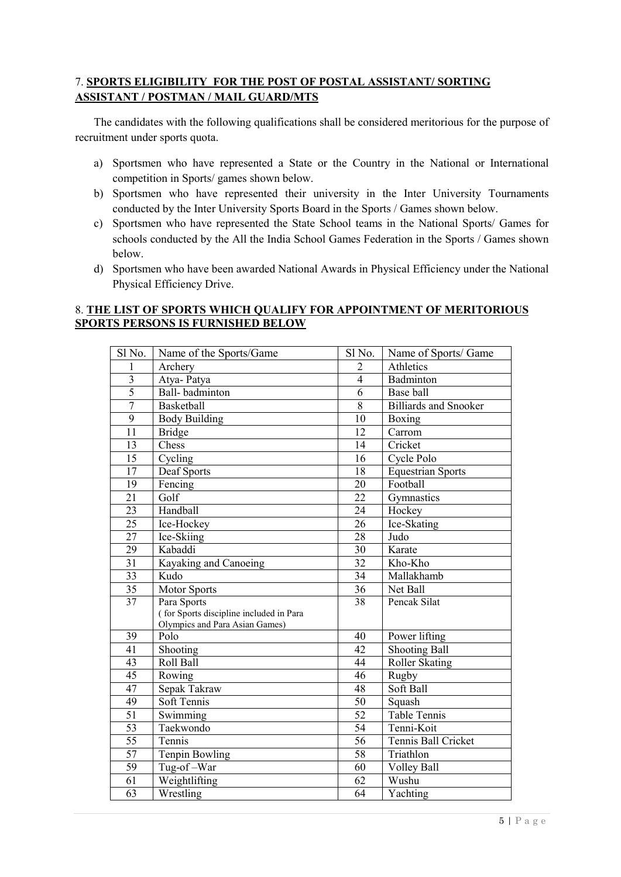### 7. **SPORTS ELIGIBILITY FOR THE POST OF POSTAL ASSISTANT/ SORTING ASSISTANT / POSTMAN / MAIL GUARD/MTS**

The candidates with the following qualifications shall be considered meritorious for the purpose of recruitment under sports quota.

- a) Sportsmen who have represented a State or the Country in the National or International competition in Sports/ games shown below.
- b) Sportsmen who have represented their university in the Inter University Tournaments conducted by the Inter University Sports Board in the Sports / Games shown below.
- c) Sportsmen who have represented the State School teams in the National Sports/ Games for schools conducted by the All the India School Games Federation in the Sports / Games shown below.
- d) Sportsmen who have been awarded National Awards in Physical Efficiency under the National Physical Efficiency Drive.

#### 8. **THE LIST OF SPORTS WHICH QUALIFY FOR APPOINTMENT OF MERITORIOUS SPORTS PERSONS IS FURNISHED BELOW**

| Sl No.              | Name of the Sports/Game                 | Sl No.          | Name of Sports/ Game         |
|---------------------|-----------------------------------------|-----------------|------------------------------|
|                     |                                         |                 |                              |
| 1                   | Archery                                 | $\overline{2}$  | Athletics                    |
| 3<br>$\overline{5}$ | Atya-Patya                              | $\overline{4}$  | Badminton                    |
|                     | Ball-badminton                          | 6               | Base ball                    |
| $\overline{7}$      | Basketball                              | 8               | <b>Billiards</b> and Snooker |
| 9                   | <b>Body Building</b>                    | 10              | Boxing                       |
| 11                  | <b>Bridge</b>                           | 12              | Carrom                       |
| 13                  | Chess                                   | 14              | Cricket                      |
| 15                  | Cycling                                 | 16              | Cycle Polo                   |
| 17                  | Deaf Sports                             | 18              | <b>Equestrian Sports</b>     |
| 19                  | Fencing                                 | 20              | Football                     |
| $\overline{21}$     | Golf                                    | $\overline{22}$ | Gymnastics                   |
| 23                  | Handball                                | 24              | Hockey                       |
| 25                  | Ice-Hockey                              | 26              | Ice-Skating                  |
| 27                  | Ice-Skiing                              | 28              | Judo                         |
| 29                  | Kabaddi                                 | 30              | Karate                       |
| $\overline{31}$     | Kayaking and Canoeing                   | $\overline{32}$ | Kho-Kho                      |
| 33                  | Kudo                                    | 34              | Mallakhamb                   |
| 35                  | <b>Motor Sports</b>                     | $\overline{3}6$ | Net Ball                     |
| 37                  | Para Sports                             | 38              | Pencak Silat                 |
|                     | (for Sports discipline included in Para |                 |                              |
|                     | Olympics and Para Asian Games)          |                 |                              |
| 39                  | Polo                                    | 40              | Power lifting                |
| 41                  | Shooting                                | 42              | <b>Shooting Ball</b>         |
| $\overline{43}$     | Roll Ball                               | 44              | Roller Skating               |
| 45                  | Rowing                                  | 46              | Rugby                        |
| 47                  | Sepak Takraw                            | 48              | Soft Ball                    |
| 49                  | Soft Tennis                             | 50              | Squash                       |
| $\overline{51}$     | Swimming                                | $\overline{52}$ | <b>Table Tennis</b>          |
| $\overline{53}$     | Taekwondo                               | $\overline{54}$ | Tenni-Koit                   |
| 55                  | Tennis                                  | 56              | Tennis Ball Cricket          |
| 57                  | Tenpin Bowling                          | 58              | Triathlon                    |
| 59                  | Tug-of-War                              | 60              | Volley Ball                  |
| 61                  | Weightlifting                           | 62              | Wushu                        |
| $\overline{63}$     | Wrestling                               | 64              | Yachting                     |
|                     |                                         |                 |                              |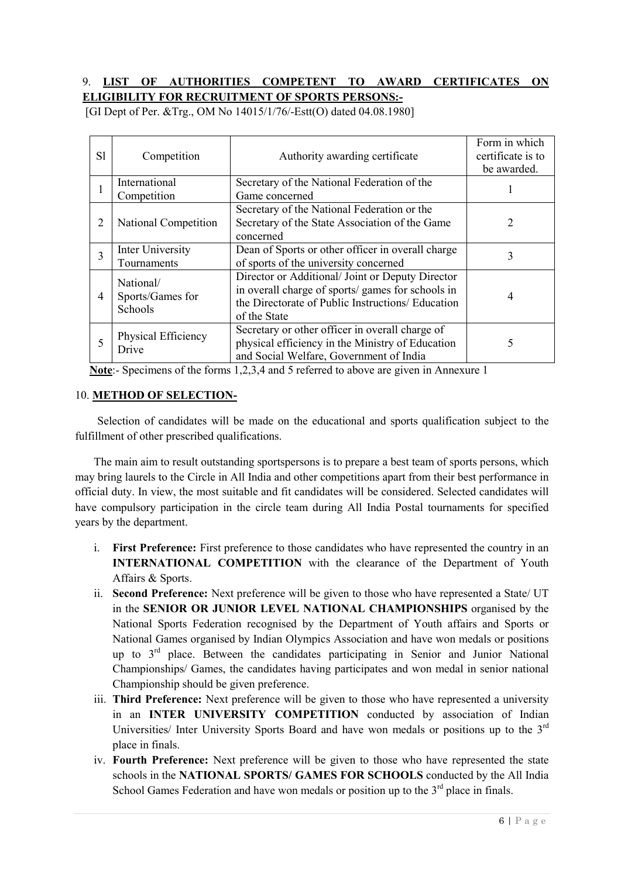### 9. **LIST OF AUTHORITIES COMPETENT TO AWARD CERTIFICATES ON ELIGIBILITY FOR RECRUITMENT OF SPORTS PERSONS:-**

| S1             | Competition                              | Authority awarding certificate                                                                                                                                             | Form in which<br>certificate is to<br>be awarded. |
|----------------|------------------------------------------|----------------------------------------------------------------------------------------------------------------------------------------------------------------------------|---------------------------------------------------|
|                | International<br>Competition             | Secretary of the National Federation of the<br>Game concerned                                                                                                              |                                                   |
| $\overline{2}$ | National Competition                     | Secretary of the National Federation or the<br>Secretary of the State Association of the Game<br>concerned                                                                 | 2                                                 |
| 3              | Inter University<br>Tournaments          | Dean of Sports or other officer in overall charge<br>of sports of the university concerned                                                                                 | 3                                                 |
| $\overline{4}$ | National/<br>Sports/Games for<br>Schools | Director or Additional/ Joint or Deputy Director<br>in overall charge of sports/ games for schools in<br>the Directorate of Public Instructions/ Education<br>of the State | 4                                                 |
| 5              | Physical Efficiency<br>Drive             | Secretary or other officer in overall charge of<br>physical efficiency in the Ministry of Education<br>and Social Welfare, Government of India                             | 5                                                 |

[GI Dept of Per. &Trg., OM No 14015/1/76/-Estt(O) dated 04.08.1980]

**Note**:- Specimens of the forms 1,2,3,4 and 5 referred to above are given in Annexure 1

#### 10. **METHOD OF SELECTION-**

Selection of candidates will be made on the educational and sports qualification subject to the fulfillment of other prescribed qualifications.

The main aim to result outstanding sportspersons is to prepare a best team of sports persons, which may bring laurels to the Circle in All India and other competitions apart from their best performance in official duty. In view, the most suitable and fit candidates will be considered. Selected candidates will have compulsory participation in the circle team during All India Postal tournaments for specified years by the department.

- i. **First Preference:** First preference to those candidates who have represented the country in an **INTERNATIONAL COMPETITION** with the clearance of the Department of Youth Affairs & Sports.
- ii. **Second Preference:** Next preference will be given to those who have represented a State/ UT in the **SENIOR OR JUNIOR LEVEL NATIONAL CHAMPIONSHIPS** organised by the National Sports Federation recognised by the Department of Youth affairs and Sports or National Games organised by Indian Olympics Association and have won medals or positions up to 3rd place. Between the candidates participating in Senior and Junior National Championships/ Games, the candidates having participates and won medal in senior national Championship should be given preference.
- iii. **Third Preference:** Next preference will be given to those who have represented a university in an **INTER UNIVERSITY COMPETITION** conducted by association of Indian Universities/ Inter University Sports Board and have won medals or positions up to the  $3<sup>rd</sup>$ place in finals.
- iv. **Fourth Preference:** Next preference will be given to those who have represented the state schools in the **NATIONAL SPORTS/ GAMES FOR SCHOOLS** conducted by the All India School Games Federation and have won medals or position up to the  $3<sup>rd</sup>$  place in finals.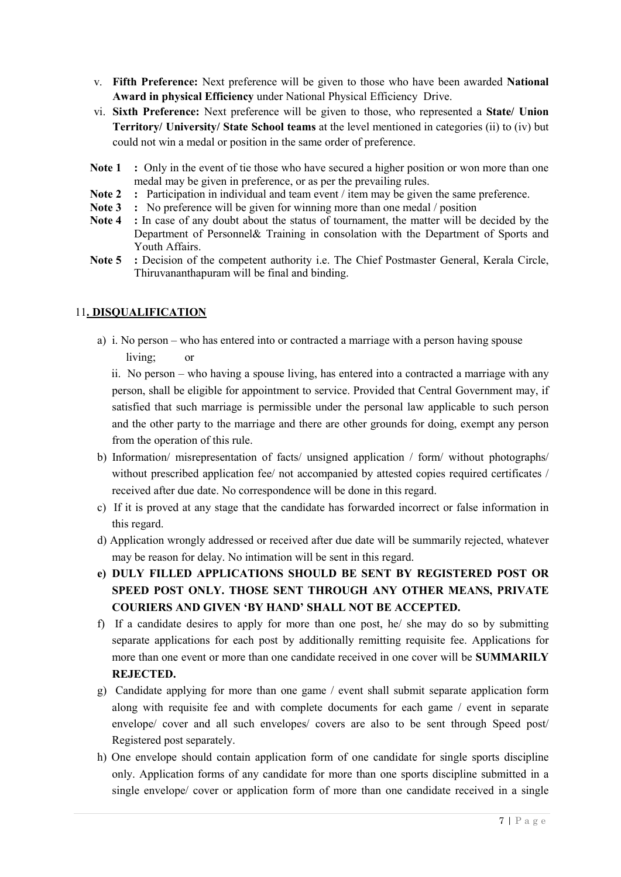- v. **Fifth Preference:** Next preference will be given to those who have been awarded **National Award in physical Efficiency** under National Physical Efficiency Drive.
- vi. **Sixth Preference:** Next preference will be given to those, who represented a **State/ Union Territory/ University/ State School teams** at the level mentioned in categories (ii) to (iv) but could not win a medal or position in the same order of preference.
- **Note 1 :** Only in the event of tie those who have secured a higher position or won more than one medal may be given in preference, or as per the prevailing rules.
- **Note 2 :** Participation in individual and team event / item may be given the same preference.
- **Note 3 :** No preference will be given for winning more than one medal / position
- **Note 4 :** In case of any doubt about the status of tournament, the matter will be decided by the Department of Personnel& Training in consolation with the Department of Sports and Youth Affairs.
- **Note 5** : Decision of the competent authority i.e. The Chief Postmaster General, Kerala Circle, Thiruvananthapuram will be final and binding.

### 11**. DISQUALIFICATION**

a) i. No person – who has entered into or contracted a marriage with a person having spouse living; or

 ii. No person – who having a spouse living, has entered into a contracted a marriage with any person, shall be eligible for appointment to service. Provided that Central Government may, if satisfied that such marriage is permissible under the personal law applicable to such person and the other party to the marriage and there are other grounds for doing, exempt any person from the operation of this rule.

- b) Information/ misrepresentation of facts/ unsigned application / form/ without photographs/ without prescribed application fee/ not accompanied by attested copies required certificates / received after due date. No correspondence will be done in this regard.
- c) If it is proved at any stage that the candidate has forwarded incorrect or false information in this regard.
- d) Application wrongly addressed or received after due date will be summarily rejected, whatever may be reason for delay. No intimation will be sent in this regard.
- **e) DULY FILLED APPLICATIONS SHOULD BE SENT BY REGISTERED POST OR SPEED POST ONLY. THOSE SENT THROUGH ANY OTHER MEANS, PRIVATE COURIERS AND GIVEN 'BY HAND' SHALL NOT BE ACCEPTED.**
- f) If a candidate desires to apply for more than one post, he/ she may do so by submitting separate applications for each post by additionally remitting requisite fee. Applications for more than one event or more than one candidate received in one cover will be **SUMMARILY REJECTED.**
- g) Candidate applying for more than one game / event shall submit separate application form along with requisite fee and with complete documents for each game / event in separate envelope/ cover and all such envelopes/ covers are also to be sent through Speed post/ Registered post separately.
- h) One envelope should contain application form of one candidate for single sports discipline only. Application forms of any candidate for more than one sports discipline submitted in a single envelope/ cover or application form of more than one candidate received in a single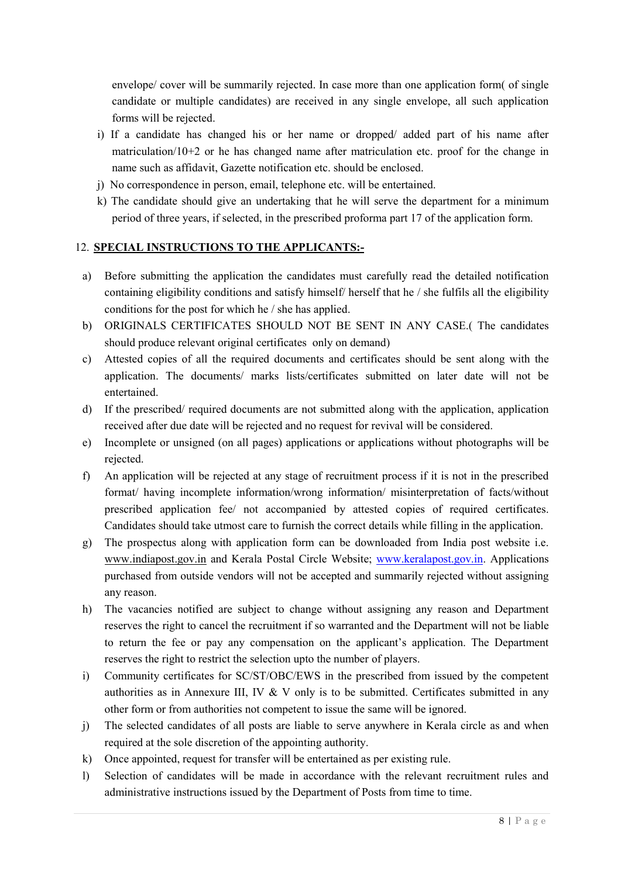envelope/ cover will be summarily rejected. In case more than one application form( of single candidate or multiple candidates) are received in any single envelope, all such application forms will be rejected.

- i) If a candidate has changed his or her name or dropped/ added part of his name after matriculation/10+2 or he has changed name after matriculation etc. proof for the change in name such as affidavit, Gazette notification etc. should be enclosed.
- j) No correspondence in person, email, telephone etc. will be entertained.
- k) The candidate should give an undertaking that he will serve the department for a minimum period of three years, if selected, in the prescribed proforma part 17 of the application form.

### 12. **SPECIAL INSTRUCTIONS TO THE APPLICANTS:-**

- a) Before submitting the application the candidates must carefully read the detailed notification containing eligibility conditions and satisfy himself/ herself that he / she fulfils all the eligibility conditions for the post for which he / she has applied.
- b) ORIGINALS CERTIFICATES SHOULD NOT BE SENT IN ANY CASE.( The candidates should produce relevant original certificates only on demand)
- c) Attested copies of all the required documents and certificates should be sent along with the application. The documents/ marks lists/certificates submitted on later date will not be entertained.
- d) If the prescribed/ required documents are not submitted along with the application, application received after due date will be rejected and no request for revival will be considered.
- e) Incomplete or unsigned (on all pages) applications or applications without photographs will be rejected.
- f) An application will be rejected at any stage of recruitment process if it is not in the prescribed format/ having incomplete information/wrong information/ misinterpretation of facts/without prescribed application fee/ not accompanied by attested copies of required certificates. Candidates should take utmost care to furnish the correct details while filling in the application.
- g) The prospectus along with application form can be downloaded from India post website i.e. www.indiapost.gov.in and Kerala Postal Circle Website; www.keralapost.gov.in. Applications purchased from outside vendors will not be accepted and summarily rejected without assigning any reason.
- h) The vacancies notified are subject to change without assigning any reason and Department reserves the right to cancel the recruitment if so warranted and the Department will not be liable to return the fee or pay any compensation on the applicant's application. The Department reserves the right to restrict the selection upto the number of players.
- i) Community certificates for SC/ST/OBC/EWS in the prescribed from issued by the competent authorities as in Annexure III, IV  $&$  V only is to be submitted. Certificates submitted in any other form or from authorities not competent to issue the same will be ignored.
- j) The selected candidates of all posts are liable to serve anywhere in Kerala circle as and when required at the sole discretion of the appointing authority.
- k) Once appointed, request for transfer will be entertained as per existing rule.
- l) Selection of candidates will be made in accordance with the relevant recruitment rules and administrative instructions issued by the Department of Posts from time to time.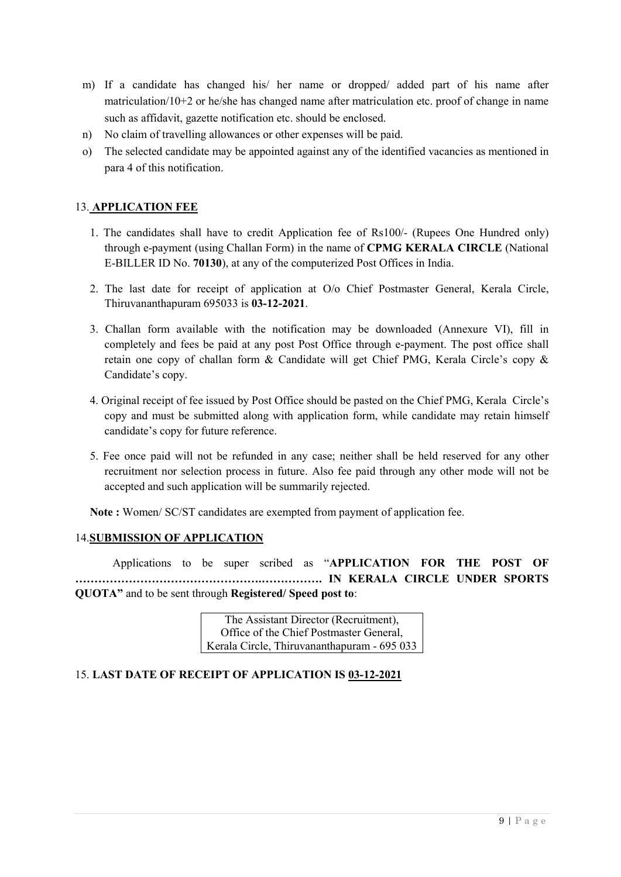- m) If a candidate has changed his/ her name or dropped/ added part of his name after matriculation/10+2 or he/she has changed name after matriculation etc. proof of change in name such as affidavit, gazette notification etc. should be enclosed.
- n) No claim of travelling allowances or other expenses will be paid.
- o) The selected candidate may be appointed against any of the identified vacancies as mentioned in para 4 of this notification.

### 13. **APPLICATION FEE**

- 1. The candidates shall have to credit Application fee of Rs100/- (Rupees One Hundred only) through e-payment (using Challan Form) in the name of **CPMG KERALA CIRCLE** (National E-BILLER ID No. **70130**), at any of the computerized Post Offices in India.
- 2. The last date for receipt of application at O/o Chief Postmaster General, Kerala Circle, Thiruvananthapuram 695033 is **03-12-2021**.
- 3. Challan form available with the notification may be downloaded (Annexure VI), fill in completely and fees be paid at any post Post Office through e-payment. The post office shall retain one copy of challan form & Candidate will get Chief PMG, Kerala Circle's copy & Candidate's copy.
- 4. Original receipt of fee issued by Post Office should be pasted on the Chief PMG, Kerala Circle's copy and must be submitted along with application form, while candidate may retain himself candidate's copy for future reference.
- 5. Fee once paid will not be refunded in any case; neither shall be held reserved for any other recruitment nor selection process in future. Also fee paid through any other mode will not be accepted and such application will be summarily rejected.

**Note :** Women/ SC/ST candidates are exempted from payment of application fee.

#### 14.**SUBMISSION OF APPLICATION**

Applications to be super scribed as "**APPLICATION FOR THE POST OF ………………………………………….……………. IN KERALA CIRCLE UNDER SPORTS QUOTA"** and to be sent through **Registered/ Speed post to**:

> The Assistant Director (Recruitment), Office of the Chief Postmaster General, Kerala Circle, Thiruvananthapuram - 695 033

#### 15. **LAST DATE OF RECEIPT OF APPLICATION IS 03-12-2021**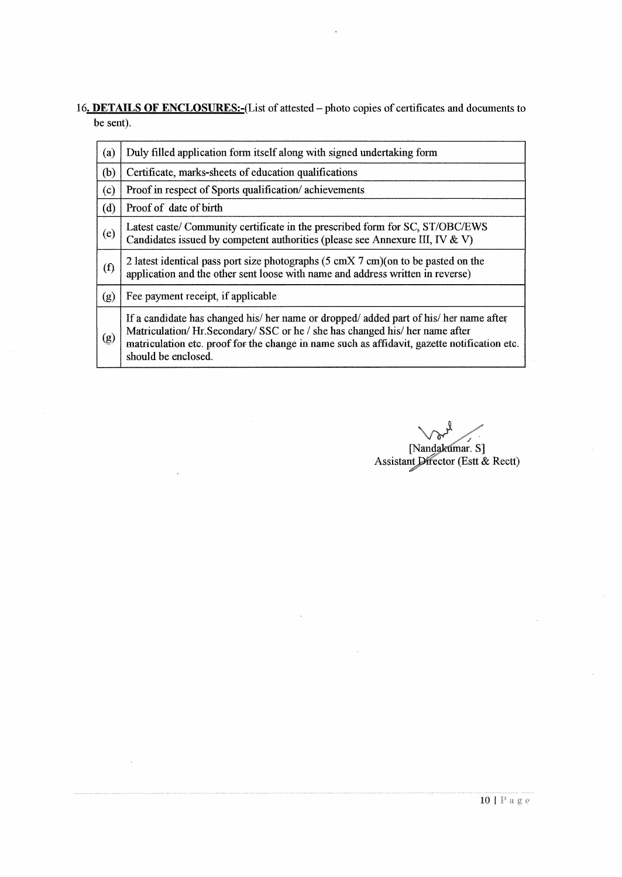16. DETAILS OF ENCLOSURES:-(List of attested - photo copies of certificates and documents to be sent).

| (a)                                                          | Duly filled application form itself along with signed undertaking form                                                                                                                                                                                                                      |
|--------------------------------------------------------------|---------------------------------------------------------------------------------------------------------------------------------------------------------------------------------------------------------------------------------------------------------------------------------------------|
| (b)                                                          | Certificate, marks-sheets of education qualifications                                                                                                                                                                                                                                       |
| (c)                                                          | Proof in respect of Sports qualification/achievements                                                                                                                                                                                                                                       |
| (d)                                                          | Proof of date of birth                                                                                                                                                                                                                                                                      |
| (e)                                                          | Latest caste/ Community certificate in the prescribed form for SC, ST/OBC/EWS<br>Candidates issued by competent authorities (please see Annexure III, IV & V)                                                                                                                               |
| (f)                                                          | 2 latest identical pass port size photographs $(5 \text{ cm} X 7 \text{ cm})(\text{on to be pasted on the})$<br>application and the other sent loose with name and address written in reverse)                                                                                              |
| (g)                                                          | Fee payment receipt, if applicable                                                                                                                                                                                                                                                          |
| $\left( \begin{smallmatrix} 0 \ 0 \end{smallmatrix} \right)$ | If a candidate has changed his/ her name or dropped/ added part of his/ her name after<br>Matriculation/Hr.Secondary/SSC or he / she has changed his/ her name after<br>matriculation etc. proof for the change in name such as affidavit, gazette notification etc.<br>should be enclosed. |

[Nandakumar. S]<br>Assistant Director (Estt & Rectt)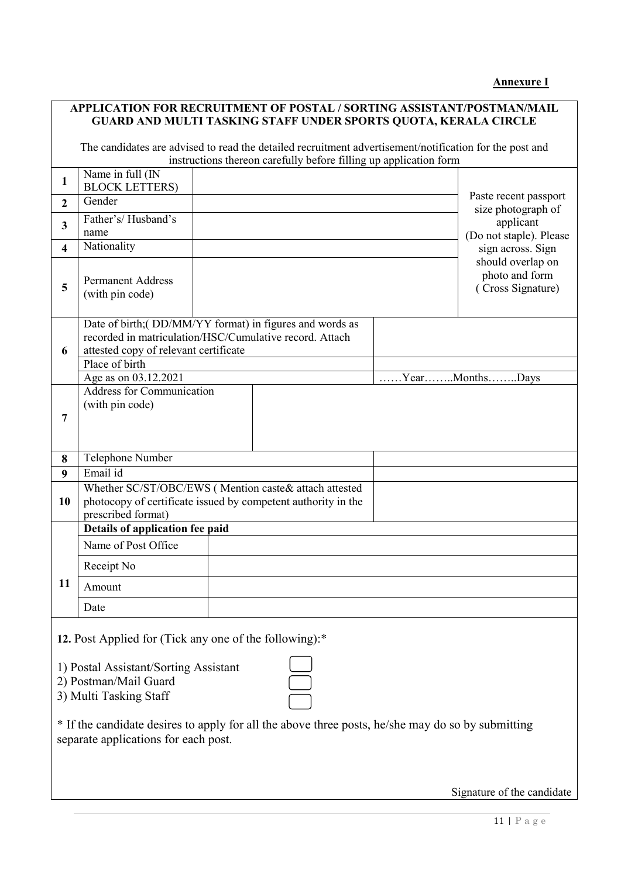|--|

# **APPLICATION FOR RECRUITMENT OF POSTAL / SORTING ASSISTANT/POSTMAN/MAIL GUARD AND MULTI TASKING STAFF UNDER SPORTS QUOTA, KERALA CIRCLE**

The candidates are advised to read the detailed recruitment advertisement/notification for the post and instructions thereon carefully before filling up application form

|                         |                                                                                                                                                                                                       | insulactions thereon carefully before filling up application form |                                                          |
|-------------------------|-------------------------------------------------------------------------------------------------------------------------------------------------------------------------------------------------------|-------------------------------------------------------------------|----------------------------------------------------------|
| $\mathbf{1}$            | Name in full (IN<br><b>BLOCK LETTERS)</b>                                                                                                                                                             |                                                                   |                                                          |
| $\overline{2}$          | Gender                                                                                                                                                                                                |                                                                   | Paste recent passport<br>size photograph of              |
| $\overline{3}$          | Father's/Husband's<br>name                                                                                                                                                                            |                                                                   | applicant<br>(Do not staple). Please                     |
| $\overline{\mathbf{4}}$ | Nationality                                                                                                                                                                                           |                                                                   | sign across. Sign                                        |
| 5                       | <b>Permanent Address</b><br>(with pin code)                                                                                                                                                           |                                                                   | should overlap on<br>photo and form<br>(Cross Signature) |
| 6                       | Date of birth;(DD/MM/YY format) in figures and words as<br>recorded in matriculation/HSC/Cumulative record. Attach<br>attested copy of relevant certificate<br>Place of birth<br>Age as on 03.12.2021 |                                                                   | $\ldots$ Year $\ldots$ Months $\ldots$ Days              |
| 7                       | <b>Address for Communication</b><br>(with pin code)                                                                                                                                                   |                                                                   |                                                          |
| 8                       | Telephone Number                                                                                                                                                                                      |                                                                   |                                                          |
| 9                       | Email id                                                                                                                                                                                              |                                                                   |                                                          |
| 10                      | Whether SC/ST/OBC/EWS (Mention caste& attach attested<br>photocopy of certificate issued by competent authority in the<br>prescribed format)                                                          |                                                                   |                                                          |
|                         | Details of application fee paid                                                                                                                                                                       |                                                                   |                                                          |
|                         | Name of Post Office                                                                                                                                                                                   |                                                                   |                                                          |
|                         | Receipt No                                                                                                                                                                                            |                                                                   |                                                          |
| 11                      | Amount                                                                                                                                                                                                |                                                                   |                                                          |
|                         | Date                                                                                                                                                                                                  |                                                                   |                                                          |
|                         |                                                                                                                                                                                                       |                                                                   |                                                          |

**12.** Post Applied for (Tick any one of the following):\*

- 1) Postal Assistant/Sorting Assistant
- 2) Postman/Mail Guard
- 3) Multi Tasking Staff

\* If the candidate desires to apply for all the above three posts, he/she may do so by submitting separate applications for each post.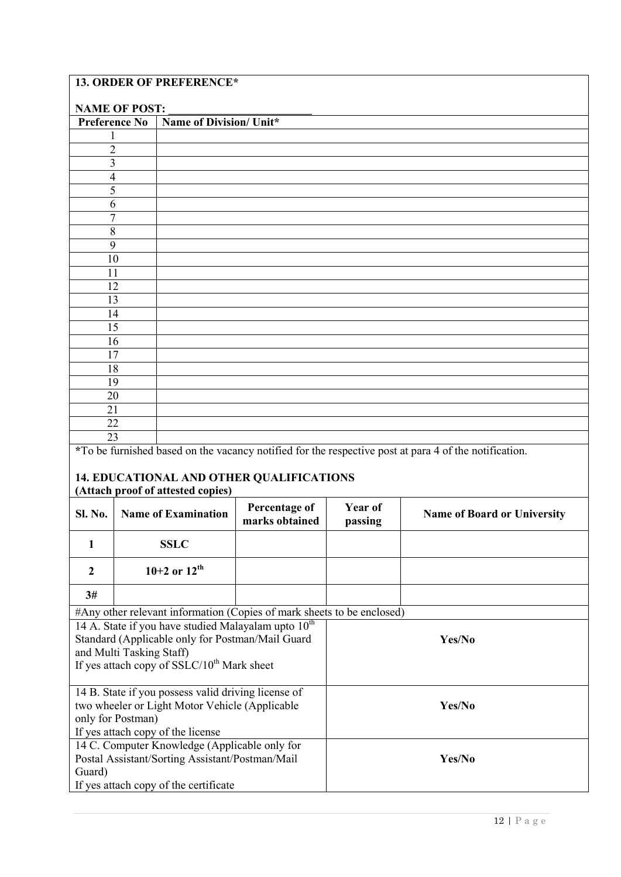# **13. ORDER OF PREFERENCE\***

If yes attach copy of the license

If yes attach copy of the certificate

Guard)

14 C. Computer Knowledge (Applicable only for Postal Assistant/Sorting Assistant/Postman/Mail

| <b>NAME OF POST:</b>                                                                                                                                                                               |                   |                                                     |                                          |                    |                                                                                                       |  |
|----------------------------------------------------------------------------------------------------------------------------------------------------------------------------------------------------|-------------------|-----------------------------------------------------|------------------------------------------|--------------------|-------------------------------------------------------------------------------------------------------|--|
| <b>Preference No</b><br>Name of Division/ Unit*                                                                                                                                                    |                   |                                                     |                                          |                    |                                                                                                       |  |
| 1                                                                                                                                                                                                  |                   |                                                     |                                          |                    |                                                                                                       |  |
| $\overline{2}$                                                                                                                                                                                     |                   |                                                     |                                          |                    |                                                                                                       |  |
| $\overline{\mathbf{3}}$                                                                                                                                                                            |                   |                                                     |                                          |                    |                                                                                                       |  |
| 4                                                                                                                                                                                                  |                   |                                                     |                                          |                    |                                                                                                       |  |
| 5                                                                                                                                                                                                  |                   |                                                     |                                          |                    |                                                                                                       |  |
| 6                                                                                                                                                                                                  |                   |                                                     |                                          |                    |                                                                                                       |  |
| $\overline{7}$                                                                                                                                                                                     |                   |                                                     |                                          |                    |                                                                                                       |  |
| 8                                                                                                                                                                                                  |                   |                                                     |                                          |                    |                                                                                                       |  |
| 9                                                                                                                                                                                                  |                   |                                                     |                                          |                    |                                                                                                       |  |
| 10                                                                                                                                                                                                 |                   |                                                     |                                          |                    |                                                                                                       |  |
| 11                                                                                                                                                                                                 |                   |                                                     |                                          |                    |                                                                                                       |  |
| 12                                                                                                                                                                                                 |                   |                                                     |                                          |                    |                                                                                                       |  |
| 13                                                                                                                                                                                                 |                   |                                                     |                                          |                    |                                                                                                       |  |
| 14                                                                                                                                                                                                 |                   |                                                     |                                          |                    |                                                                                                       |  |
| 15                                                                                                                                                                                                 |                   |                                                     |                                          |                    |                                                                                                       |  |
| 16                                                                                                                                                                                                 |                   |                                                     |                                          |                    |                                                                                                       |  |
| 17                                                                                                                                                                                                 |                   |                                                     |                                          |                    |                                                                                                       |  |
| 18                                                                                                                                                                                                 |                   |                                                     |                                          |                    |                                                                                                       |  |
| 19                                                                                                                                                                                                 |                   |                                                     |                                          |                    |                                                                                                       |  |
| 20                                                                                                                                                                                                 |                   |                                                     |                                          |                    |                                                                                                       |  |
| 21                                                                                                                                                                                                 |                   |                                                     |                                          |                    |                                                                                                       |  |
| 22                                                                                                                                                                                                 |                   |                                                     |                                          |                    |                                                                                                       |  |
| 23                                                                                                                                                                                                 |                   |                                                     |                                          |                    |                                                                                                       |  |
|                                                                                                                                                                                                    |                   |                                                     |                                          |                    | *To be furnished based on the vacancy notified for the respective post at para 4 of the notification. |  |
|                                                                                                                                                                                                    |                   | (Attach proof of attested copies)                   | 14. EDUCATIONAL AND OTHER QUALIFICATIONS |                    |                                                                                                       |  |
| <b>Sl. No.</b>                                                                                                                                                                                     |                   | <b>Name of Examination</b>                          | Percentage of<br>marks obtained          | Year of<br>passing | <b>Name of Board or University</b>                                                                    |  |
| 1                                                                                                                                                                                                  |                   | <b>SSLC</b>                                         |                                          |                    |                                                                                                       |  |
| $\boldsymbol{2}$                                                                                                                                                                                   |                   | 10+2 or $12^{th}$                                   |                                          |                    |                                                                                                       |  |
| 3#                                                                                                                                                                                                 |                   |                                                     |                                          |                    |                                                                                                       |  |
| #Any other relevant information (Copies of mark sheets to be enclosed)                                                                                                                             |                   |                                                     |                                          |                    |                                                                                                       |  |
| 14 A. State if you have studied Malayalam upto 10 <sup>th</sup><br>Standard (Applicable only for Postman/Mail Guard<br>and Multi Tasking Staff)<br>If yes attach copy of $SSLC/10^{th}$ Mark sheet |                   | Yes/No                                              |                                          |                    |                                                                                                       |  |
|                                                                                                                                                                                                    |                   | 14 B. State if you possess valid driving license of |                                          |                    |                                                                                                       |  |
|                                                                                                                                                                                                    | only for Postman) | two wheeler or Light Motor Vehicle (Applicable      |                                          | Yes/No             |                                                                                                       |  |

**Yes/No**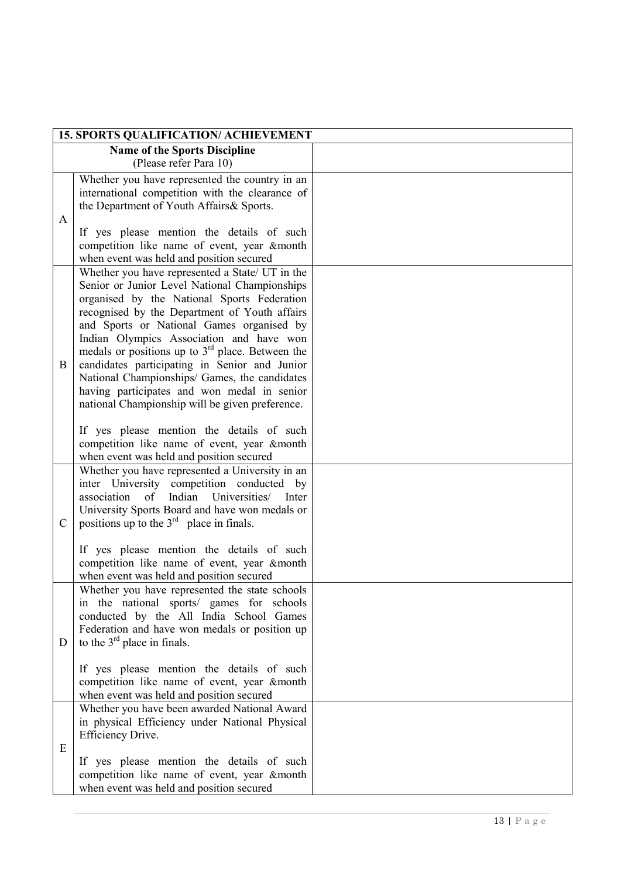|               | <b>15. SPORTS QUALIFICATION/ ACHIEVEMENT</b>                                                                                                                                                                                                                                                                                                                                                                                                                                                                                                                                                                                                    |  |
|---------------|-------------------------------------------------------------------------------------------------------------------------------------------------------------------------------------------------------------------------------------------------------------------------------------------------------------------------------------------------------------------------------------------------------------------------------------------------------------------------------------------------------------------------------------------------------------------------------------------------------------------------------------------------|--|
|               | <b>Name of the Sports Discipline</b>                                                                                                                                                                                                                                                                                                                                                                                                                                                                                                                                                                                                            |  |
|               | (Please refer Para 10)                                                                                                                                                                                                                                                                                                                                                                                                                                                                                                                                                                                                                          |  |
| A             | Whether you have represented the country in an<br>international competition with the clearance of<br>the Department of Youth Affairs & Sports.<br>If yes please mention the details of such<br>competition like name of event, year &month<br>when event was held and position secured                                                                                                                                                                                                                                                                                                                                                          |  |
| B             | Whether you have represented a State/ UT in the<br>Senior or Junior Level National Championships<br>organised by the National Sports Federation<br>recognised by the Department of Youth affairs<br>and Sports or National Games organised by<br>Indian Olympics Association and have won<br>medals or positions up to $3rd$ place. Between the<br>candidates participating in Senior and Junior<br>National Championships/ Games, the candidates<br>having participates and won medal in senior<br>national Championship will be given preference.<br>If yes please mention the details of such<br>competition like name of event, year &month |  |
| $\mathcal{C}$ | when event was held and position secured<br>Whether you have represented a University in an<br>inter University competition conducted by<br>association<br>of Indian<br>Universities/<br>Inter<br>University Sports Board and have won medals or<br>positions up to the $3rd$ place in finals.<br>If yes please mention the details of such<br>competition like name of event, year &month<br>when event was held and position secured                                                                                                                                                                                                          |  |
| D             | Whether you have represented the state schools<br>in the national sports/ games for schools<br>conducted by the All India School Games<br>Federation and have won medals or position up<br>to the $3rd$ place in finals.<br>If yes please mention the details of such<br>competition like name of event, year &month<br>when event was held and position secured                                                                                                                                                                                                                                                                                |  |
| Ε             | Whether you have been awarded National Award<br>in physical Efficiency under National Physical<br>Efficiency Drive.<br>If yes please mention the details of such<br>competition like name of event, year &month<br>when event was held and position secured                                                                                                                                                                                                                                                                                                                                                                                     |  |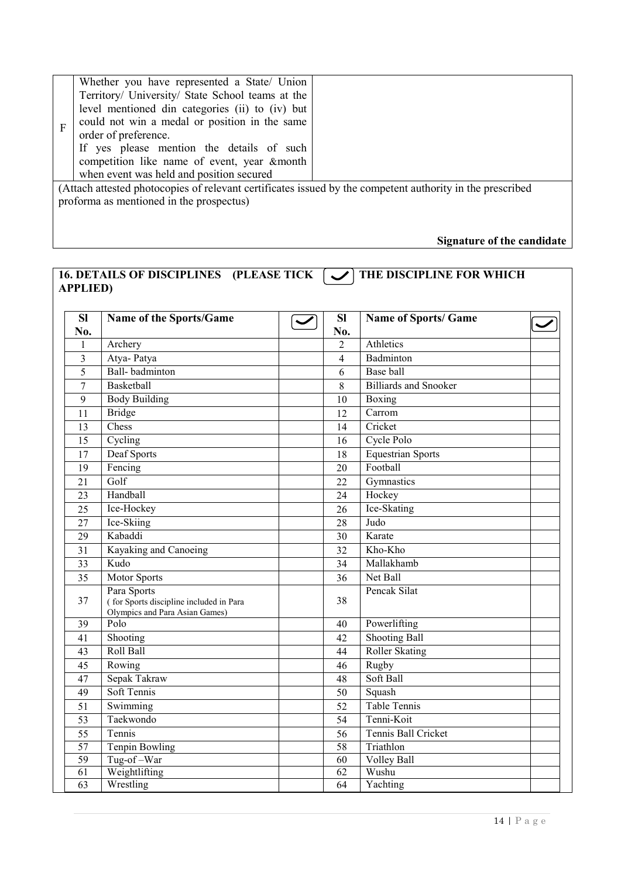| F | Whether you have represented a State/ Union<br>Territory/ University/ State School teams at the<br>level mentioned din categories (ii) to (iv) but<br>could not win a medal or position in the same<br>order of preference.<br>If yes please mention the details of such<br>competition like name of event, year & month<br>when event was held and position secured |  |  |  |
|---|----------------------------------------------------------------------------------------------------------------------------------------------------------------------------------------------------------------------------------------------------------------------------------------------------------------------------------------------------------------------|--|--|--|
|   | (Attach attested photocopies of relevant certificates issued by the competent authority in the prescribed<br>proforma as mentioned in the prospectus)                                                                                                                                                                                                                |  |  |  |
|   |                                                                                                                                                                                                                                                                                                                                                                      |  |  |  |

# **Signature of the candidate**

# 16. DETAILS OF DISCIPLINES (PLEASE TICK  $\boxed{\smile}$ ) THE DISCIPLINE FOR WHICH **APPLIED)**

| <b>SI</b>      | Name of the Sports/Game                                                                  | <b>SI</b>      | <b>Name of Sports/ Game</b>  |  |
|----------------|------------------------------------------------------------------------------------------|----------------|------------------------------|--|
| No.            |                                                                                          | No.            |                              |  |
| 1              | Archery                                                                                  | $\overline{2}$ | Athletics                    |  |
| 3              | Atya-Patya                                                                               | $\overline{4}$ | Badminton                    |  |
| 5              | Ball-badminton                                                                           | 6              | Base ball                    |  |
| $\tau$         | Basketball                                                                               | 8              | <b>Billiards and Snooker</b> |  |
| $\overline{9}$ | <b>Body Building</b>                                                                     | 10             | Boxing                       |  |
| 11             | <b>Bridge</b>                                                                            | 12             | Carrom                       |  |
| 13             | Chess                                                                                    | 14             | Cricket                      |  |
| 15             | Cycling                                                                                  | 16             | Cycle Polo                   |  |
| 17             | Deaf Sports                                                                              | 18             | <b>Equestrian Sports</b>     |  |
| 19             | Fencing                                                                                  | 20             | Football                     |  |
| 21             | Golf                                                                                     | 22             | Gymnastics                   |  |
| 23             | Handball                                                                                 | 24             | Hockey                       |  |
| 25             | Ice-Hockey                                                                               | 26             | Ice-Skating                  |  |
| 27             | Ice-Skiing                                                                               | 28             | Judo                         |  |
| 29             | Kabaddi                                                                                  | 30             | Karate                       |  |
| 31             | Kayaking and Canoeing                                                                    | 32             | Kho-Kho                      |  |
| 33             | Kudo                                                                                     | 34             | Mallakhamb                   |  |
| 35             | Motor Sports                                                                             | 36             | Net Ball                     |  |
| 37             | Para Sports<br>(for Sports discipline included in Para<br>Olympics and Para Asian Games) | 38             | Pencak Silat                 |  |
| 39             | Polo                                                                                     | 40             | Powerlifting                 |  |
| 41             | Shooting                                                                                 | 42             | <b>Shooting Ball</b>         |  |
| 43             | Roll Ball                                                                                | 44             | <b>Roller Skating</b>        |  |
| 45             | Rowing                                                                                   | 46             | Rugby                        |  |
| 47             | Sepak Takraw                                                                             | 48             | Soft Ball                    |  |
| 49             | Soft Tennis                                                                              | 50             | Squash                       |  |
| 51             | Swimming                                                                                 | 52             | <b>Table Tennis</b>          |  |
| 53             | Taekwondo                                                                                | 54             | Tenni-Koit                   |  |
| 55             | Tennis                                                                                   | 56             | Tennis Ball Cricket          |  |
| 57             | <b>Tenpin Bowling</b>                                                                    | 58             | Triathlon                    |  |
| 59             | Tug-of-War                                                                               | 60             | Volley Ball                  |  |
| 61             | Weightlifting                                                                            | 62             | Wushu                        |  |
| 63             | Wrestling                                                                                | 64             | Yachting                     |  |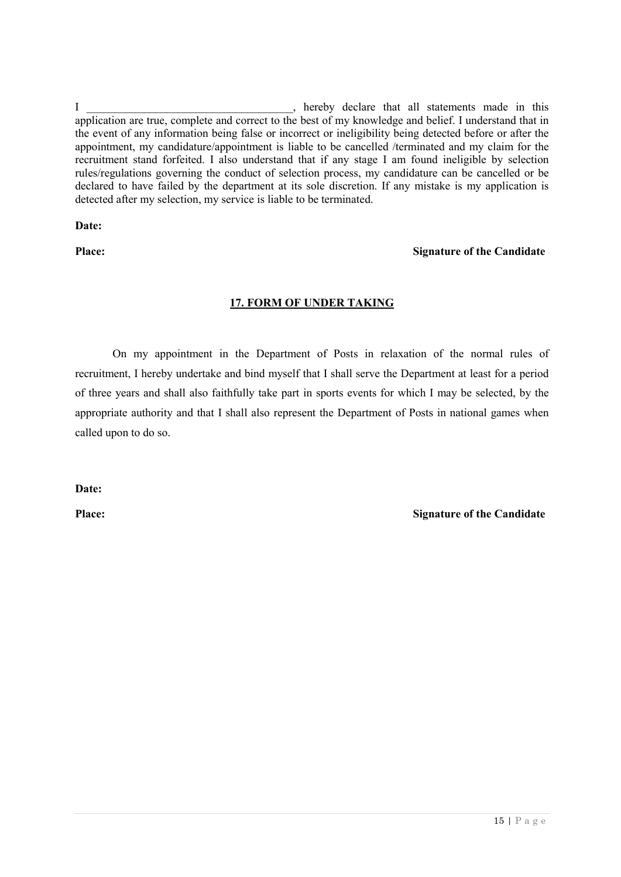I hereby declare that all statements made in this application are true, complete and correct to the best of my knowledge and belief. I understand that in the event of any information being false or incorrect or ineligibility being detected before or after the appointment, my candidature/appointment is liable to be cancelled /terminated and my claim for the recruitment stand forfeited. I also understand that if any stage I am found ineligible by selection rules/regulations governing the conduct of selection process, my candidature can be cancelled or be declared to have failed by the department at its sole discretion. If any mistake is my application is detected after my selection, my service is liable to be terminated.

**Date:**

### **Place: Signature of the Candidate**

# **17. FORM OF UNDER TAKING**

On my appointment in the Department of Posts in relaxation of the normal rules of recruitment, I hereby undertake and bind myself that I shall serve the Department at least for a period of three years and shall also faithfully take part in sports events for which I may be selected, by the appropriate authority and that I shall also represent the Department of Posts in national games when called upon to do so.

**Date:**

**Place: Signature of the Candidate**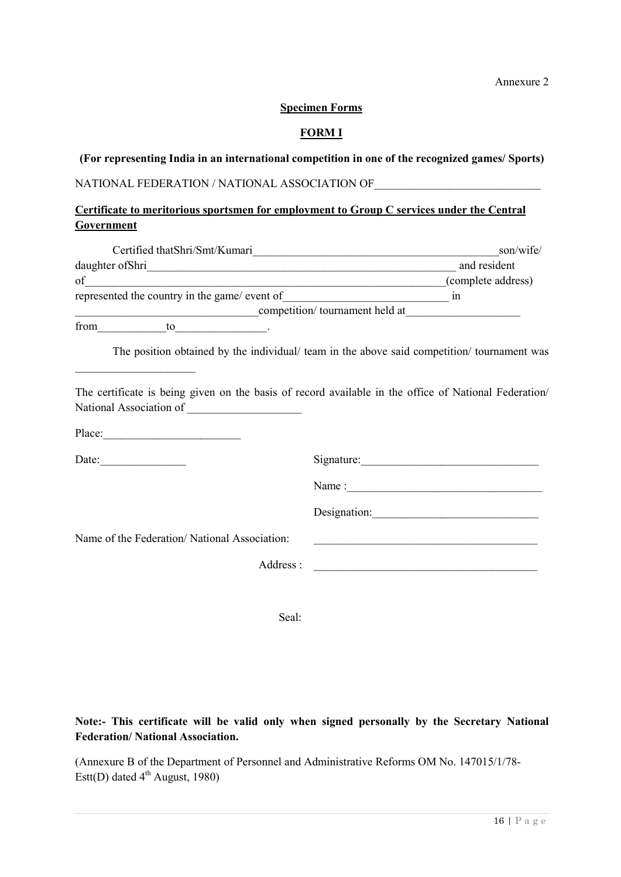Annexure 2

#### **Specimen Forms**

### **FORM I**

**(For representing India in an international competition in one of the recognized games/ Sports)**

# NATIONAL FEDERATION / NATIONAL ASSOCIATION OF

# **Certificate to meritorious sportsmen for employment to Group C services under the Central Government**

|                                                                                                                                                                                                                                                                                                                                                                                                                                                   | son/wife/                                                                                             |
|---------------------------------------------------------------------------------------------------------------------------------------------------------------------------------------------------------------------------------------------------------------------------------------------------------------------------------------------------------------------------------------------------------------------------------------------------|-------------------------------------------------------------------------------------------------------|
|                                                                                                                                                                                                                                                                                                                                                                                                                                                   |                                                                                                       |
| of                                                                                                                                                                                                                                                                                                                                                                                                                                                | (complete address)                                                                                    |
|                                                                                                                                                                                                                                                                                                                                                                                                                                                   |                                                                                                       |
|                                                                                                                                                                                                                                                                                                                                                                                                                                                   |                                                                                                       |
| from to to                                                                                                                                                                                                                                                                                                                                                                                                                                        |                                                                                                       |
| <u> 1989 - Jan James James Jan James James Jan James James Jan James James Jan James James Jan James James Jan Ja</u>                                                                                                                                                                                                                                                                                                                             | The position obtained by the individual/ team in the above said competition/ tournament was           |
|                                                                                                                                                                                                                                                                                                                                                                                                                                                   | The certificate is being given on the basis of record available in the office of National Federation/ |
| Place: $\frac{1}{\sqrt{1-\frac{1}{2}} \cdot \frac{1}{2} \cdot \frac{1}{2} \cdot \frac{1}{2} \cdot \frac{1}{2} \cdot \frac{1}{2} \cdot \frac{1}{2} \cdot \frac{1}{2} \cdot \frac{1}{2} \cdot \frac{1}{2} \cdot \frac{1}{2} \cdot \frac{1}{2} \cdot \frac{1}{2} \cdot \frac{1}{2} \cdot \frac{1}{2} \cdot \frac{1}{2} \cdot \frac{1}{2} \cdot \frac{1}{2} \cdot \frac{1}{2} \cdot \frac{1}{2} \cdot \frac{1}{2} \cdot \frac{1}{2} \cdot \frac{1}{2$ |                                                                                                       |
| Date:                                                                                                                                                                                                                                                                                                                                                                                                                                             | Signature:                                                                                            |
|                                                                                                                                                                                                                                                                                                                                                                                                                                                   |                                                                                                       |
|                                                                                                                                                                                                                                                                                                                                                                                                                                                   |                                                                                                       |
| Name of the Federation/National Association:                                                                                                                                                                                                                                                                                                                                                                                                      | <u> 1980 - Johann John Stone, markin fizik eta idazlearia (h. 1980).</u>                              |
|                                                                                                                                                                                                                                                                                                                                                                                                                                                   | Address :                                                                                             |
|                                                                                                                                                                                                                                                                                                                                                                                                                                                   |                                                                                                       |
|                                                                                                                                                                                                                                                                                                                                                                                                                                                   |                                                                                                       |

Seal:

# **Note:- This certificate will be valid only when signed personally by the Secretary National Federation/ National Association.**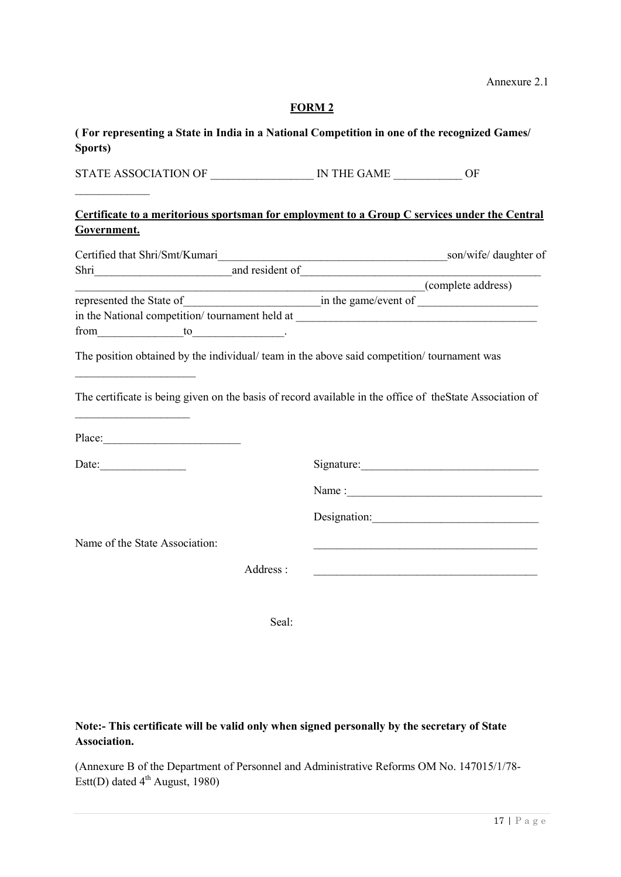| (For representing a State in India in a National Competition in one of the recognized Games/<br>Sports)                                     |          |                    |                                                            |
|---------------------------------------------------------------------------------------------------------------------------------------------|----------|--------------------|------------------------------------------------------------|
|                                                                                                                                             |          |                    |                                                            |
| Certificate to a meritorious sportsman for employment to a Group C services under the Central<br>Government.                                |          |                    |                                                            |
|                                                                                                                                             |          |                    |                                                            |
|                                                                                                                                             |          |                    |                                                            |
| Shri Manuel Communication and resident of <u>Communications</u> and resident of <u>Communications</u> and resident of <u>Communications</u> |          |                    |                                                            |
|                                                                                                                                             |          | (complete address) |                                                            |
|                                                                                                                                             |          |                    |                                                            |
|                                                                                                                                             |          |                    |                                                            |
| from to to                                                                                                                                  |          |                    |                                                            |
| The certificate is being given on the basis of record available in the office of the State Association of<br>Place:                         |          |                    |                                                            |
|                                                                                                                                             |          |                    |                                                            |
|                                                                                                                                             |          |                    |                                                            |
|                                                                                                                                             |          |                    | Designation: 2000                                          |
| Name of the State Association:                                                                                                              |          |                    |                                                            |
|                                                                                                                                             | Address: |                    | <u> 1980 - Johann Barbara, martxa alemaniar amerikan a</u> |
|                                                                                                                                             | Seal:    |                    |                                                            |

**Note:- This certificate will be valid only when signed personally by the secretary of State Association.**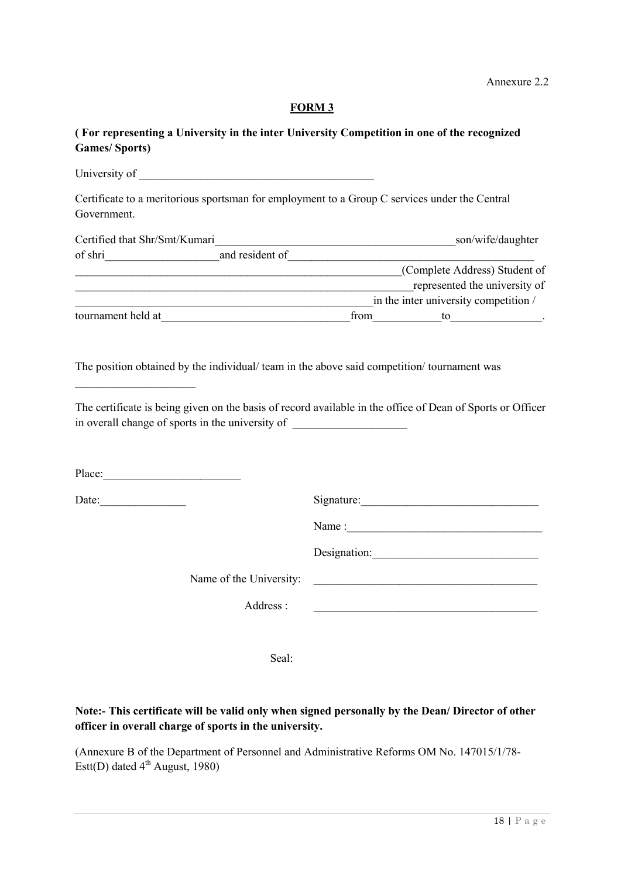# **( For representing a University in the inter University Competition in one of the recognized Games/ Sports)**

| Certificate to a meritorious sportsman for employment to a Group C services under the Central<br>Government.                                                                                                                         |                                                                                                                       |
|--------------------------------------------------------------------------------------------------------------------------------------------------------------------------------------------------------------------------------------|-----------------------------------------------------------------------------------------------------------------------|
|                                                                                                                                                                                                                                      |                                                                                                                       |
| of shri                                                                                                                                                                                                                              |                                                                                                                       |
| Complete Address) Student of                                                                                                                                                                                                         |                                                                                                                       |
| represented the university of                                                                                                                                                                                                        |                                                                                                                       |
| in the inter university competition /                                                                                                                                                                                                |                                                                                                                       |
| tournament held at <u>contract the set of the set of the set of the set of the set of the set of the set of the set of the set of the set of the set of the set of the set of the set of the set of the set of the set of the se</u> |                                                                                                                       |
| in overall change of sports in the university of ________________________________                                                                                                                                                    |                                                                                                                       |
| Date:                                                                                                                                                                                                                                | Signature:                                                                                                            |
|                                                                                                                                                                                                                                      |                                                                                                                       |
|                                                                                                                                                                                                                                      | Designation:                                                                                                          |
| Name of the University:                                                                                                                                                                                                              | <u> 1989 - Jan Barbara, manazarta da kasas da kasas da kasas da kasas da kasas da kasas da kasas da kasas da kasa</u> |
| Address:                                                                                                                                                                                                                             | <u> 1989 - Johann Barbara, martxa alemaniar argumento de la contrada de la contrada de la contrada de la contrad</u>  |
|                                                                                                                                                                                                                                      |                                                                                                                       |

Seal:

# **Note:- This certificate will be valid only when signed personally by the Dean/ Director of other officer in overall charge of sports in the university.**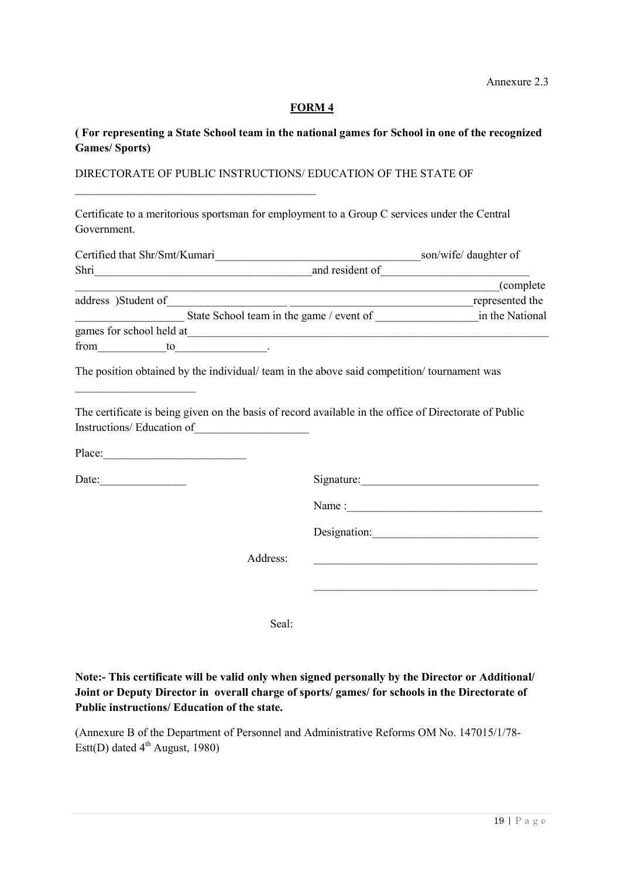#### **( For representing a State School team in the national games for School in one of the recognized Games/ Sports)**

#### DIRECTORATE OF PUBLIC INSTRUCTIONS/ EDUCATION OF THE STATE OF

\_\_\_\_\_\_\_\_\_\_\_\_\_\_\_\_\_\_\_\_\_\_\_\_\_\_\_\_\_\_\_\_\_\_\_\_\_\_\_\_\_\_

Certificate to a meritorious sportsman for employment to a Group C services under the Central Government.

| Certified that Shr/Smt/Kumari            | son/wife/ daughter of |
|------------------------------------------|-----------------------|
| Shri                                     | and resident of       |
|                                          | (complete)            |
| address )Student of                      | represented the       |
| State School team in the game / event of | in the National       |
| games for school held at                 |                       |
| from<br>to                               |                       |

The position obtained by the individual/ team in the above said competition/ tournament was

The certificate is being given on the basis of record available in the office of Directorate of Public Instructions/ Education of

Place:\_\_\_\_\_\_\_\_\_\_\_\_\_\_\_\_\_\_\_\_\_\_\_\_\_

 $\overline{\phantom{a}}$  , where  $\overline{\phantom{a}}$ 

Date:\_\_\_\_\_\_\_\_\_\_\_\_\_\_\_ Signature:\_\_\_\_\_\_\_\_\_\_\_\_\_\_\_\_\_\_\_\_\_\_\_\_\_\_\_\_\_\_\_

Name :\_\_\_\_\_\_\_\_\_\_\_\_\_\_\_\_\_\_\_\_\_\_\_\_\_\_\_\_\_\_\_\_\_\_

\_\_\_\_\_\_\_\_\_\_\_\_\_\_\_\_\_\_\_\_\_\_\_\_\_\_\_\_\_\_\_\_\_\_\_\_\_\_\_

Designation:\_\_\_\_\_\_\_\_\_\_\_\_\_\_\_\_\_\_\_\_\_\_\_\_\_\_\_\_\_

Address: \_\_\_\_\_\_\_\_\_\_\_\_\_\_\_\_\_\_\_\_\_\_\_\_\_\_\_\_\_\_\_\_\_\_\_\_\_\_\_

Seal:

**Note:- This certificate will be valid only when signed personally by the Director or Additional/ Joint or Deputy Director in overall charge of sports/ games/ for schools in the Directorate of Public instructions/ Education of the state.**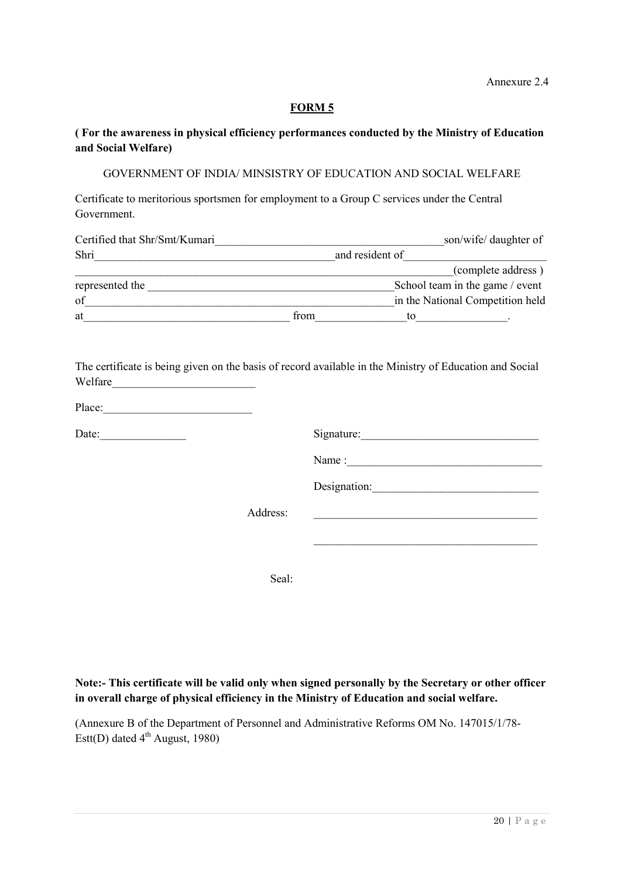### **( For the awareness in physical efficiency performances conducted by the Ministry of Education and Social Welfare)**

#### GOVERNMENT OF INDIA/ MINSISTRY OF EDUCATION AND SOCIAL WELFARE

Certificate to meritorious sportsmen for employment to a Group C services under the Central Government.

| Certified that Shr/Smt/Kumari |      | son/wife/ daughter of            |
|-------------------------------|------|----------------------------------|
| Shri                          |      | and resident of                  |
|                               |      | (complete address)               |
| represented the               |      | School team in the game / event  |
| of                            |      | in the National Competition held |
| at                            | from | tο                               |

The certificate is being given on the basis of record available in the Ministry of Education and Social Welfare

| Place: |  |
|--------|--|
|        |  |

Date: Signature:

Name :

Designation:

\_\_\_\_\_\_\_\_\_\_\_\_\_\_\_\_\_\_\_\_\_\_\_\_\_\_\_\_\_\_\_\_\_\_\_\_\_\_\_

Address: \_\_\_\_\_\_\_\_\_\_\_\_\_\_\_\_\_\_\_\_\_\_\_\_\_\_\_\_\_\_\_\_\_\_\_\_\_\_\_

Seal:

#### **Note:- This certificate will be valid only when signed personally by the Secretary or other officer in overall charge of physical efficiency in the Ministry of Education and social welfare.**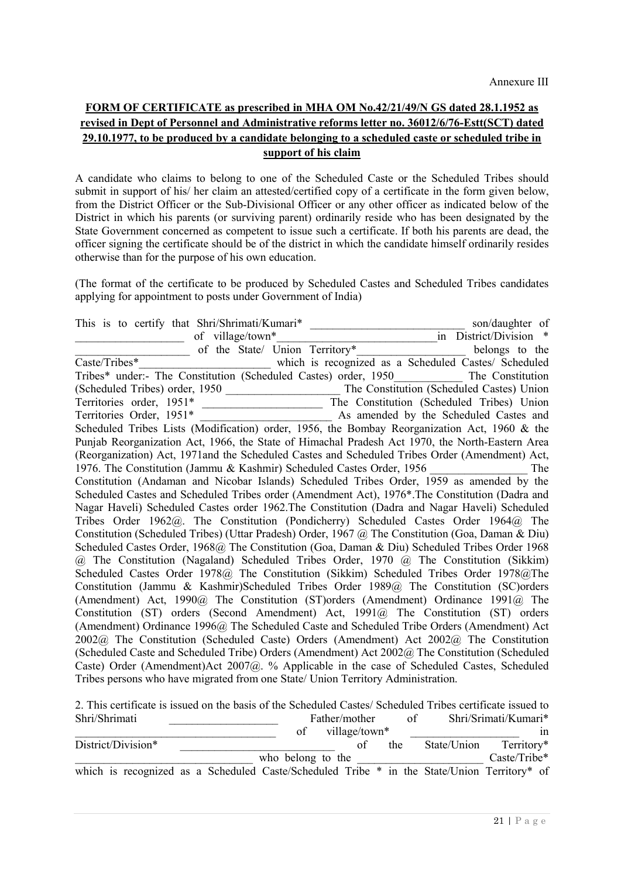# **FORM OF CERTIFICATE as prescribed in MHA OM No.42/21/49/N GS dated 28.1.1952 as revised in Dept of Personnel and Administrative reforms letter no. 36012/6/76-Estt(SCT) dated 29.10.1977, to be produced by a candidate belonging to a scheduled caste or scheduled tribe in support of his claim**

A candidate who claims to belong to one of the Scheduled Caste or the Scheduled Tribes should submit in support of his/ her claim an attested/certified copy of a certificate in the form given below, from the District Officer or the Sub-Divisional Officer or any other officer as indicated below of the District in which his parents (or surviving parent) ordinarily reside who has been designated by the State Government concerned as competent to issue such a certificate. If both his parents are dead, the officer signing the certificate should be of the district in which the candidate himself ordinarily resides otherwise than for the purpose of his own education.

(The format of the certificate to be produced by Scheduled Castes and Scheduled Tribes candidates applying for appointment to posts under Government of India)

This is to certify that Shri/Shrimati/Kumari\* \_\_\_\_\_\_\_\_\_\_\_\_\_\_\_\_\_\_\_\_\_\_\_\_\_\_\_ son/daughter of  $\frac{1}{\text{if } \frac{1}{\text{if } \frac{1}{\text{if } \frac{1}{\text{if } \frac{1}{\text{if } \frac{1}{\text{if } \frac{1}{\text{if } \frac{1}{\text{if } \frac{1}{\text{if } \frac{1}{\text{if } \frac{1}{\text{if } \frac{1}{\text{if } \frac{1}{\text{if } \frac{1}{\text{if } \frac{1}{\text{if } \frac{1}{\text{if } \frac{1}{\text{if } \frac{1}{\text{if } \frac{1}{\text{if } \frac{1}{\text{if } \frac{1}{\text{if } \frac{1}{\text{if }$ of the State/ Union Territory\* Caste/Tribes\* which is recognized as a Scheduled Castes/ Scheduled Tribes\* under:- The Constitution (Scheduled Castes) order, 1950 The Constitution (Scheduled Tribes) order, 1950 \_\_\_\_\_\_\_\_\_\_\_\_\_\_\_\_\_\_\_\_ The Constitution (Scheduled Castes) Union Territories order, 1951\* \_\_\_\_\_\_\_\_\_\_\_\_\_\_\_\_\_\_\_\_\_ The Constitution (Scheduled Tribes) Union Territories Order, 1951\* \_\_\_\_\_\_\_\_\_\_\_\_\_\_\_\_\_\_\_\_\_\_\_ As amended by the Scheduled Castes and Scheduled Tribes Lists (Modification) order, 1956, the Bombay Reorganization Act, 1960 & the Punjab Reorganization Act, 1966, the State of Himachal Pradesh Act 1970, the North-Eastern Area (Reorganization) Act, 1971and the Scheduled Castes and Scheduled Tribes Order (Amendment) Act, 1976. The Constitution (Jammu & Kashmir) Scheduled Castes Order, 1956 \_\_\_\_\_\_\_\_\_\_\_\_\_\_\_\_\_ The Constitution (Andaman and Nicobar Islands) Scheduled Tribes Order, 1959 as amended by the Scheduled Castes and Scheduled Tribes order (Amendment Act), 1976\*.The Constitution (Dadra and Nagar Haveli) Scheduled Castes order 1962.The Constitution (Dadra and Nagar Haveli) Scheduled Tribes Order 1962@. The Constitution (Pondicherry) Scheduled Castes Order 1964@ The Constitution (Scheduled Tribes) (Uttar Pradesh) Order, 1967 @ The Constitution (Goa, Daman & Diu) Scheduled Castes Order, 1968@ The Constitution (Goa, Daman & Diu) Scheduled Tribes Order 1968 @ The Constitution (Nagaland) Scheduled Tribes Order, 1970 @ The Constitution (Sikkim) Scheduled Castes Order 1978@ The Constitution (Sikkim) Scheduled Tribes Order 1978@The Constitution (Jammu & Kashmir)Scheduled Tribes Order 1989@ The Constitution (SC)orders (Amendment) Act, 1990@ The Constitution (ST)orders (Amendment) Ordinance 1991@ The Constitution (ST) orders (Second Amendment) Act, 1991@ The Constitution (ST) orders (Amendment) Ordinance 1996@ The Scheduled Caste and Scheduled Tribe Orders (Amendment) Act 2002@ The Constitution (Scheduled Caste) Orders (Amendment) Act 2002@ The Constitution (Scheduled Caste and Scheduled Tribe) Orders (Amendment) Act 2002@ The Constitution (Scheduled Caste) Order (Amendment)Act 2007@. % Applicable in the case of Scheduled Castes, Scheduled Tribes persons who have migrated from one State/ Union Territory Administration.

2. This certificate is issued on the basis of the Scheduled Castes/ Scheduled Tribes certificate issued to Shri/Shrimati Father/mother of Shri/Srimati/Kumari\* of village/town\* in in the  $\frac{1}{\text{State/Union}}$  of the  $\frac{1}{\text{State/Union}}$ District/Division\* who belong to the State/Union Territory\* Caste/Tribe\* who belong to the which is recognized as a Scheduled Caste/Scheduled Tribe \* in the State/Union Territory\* of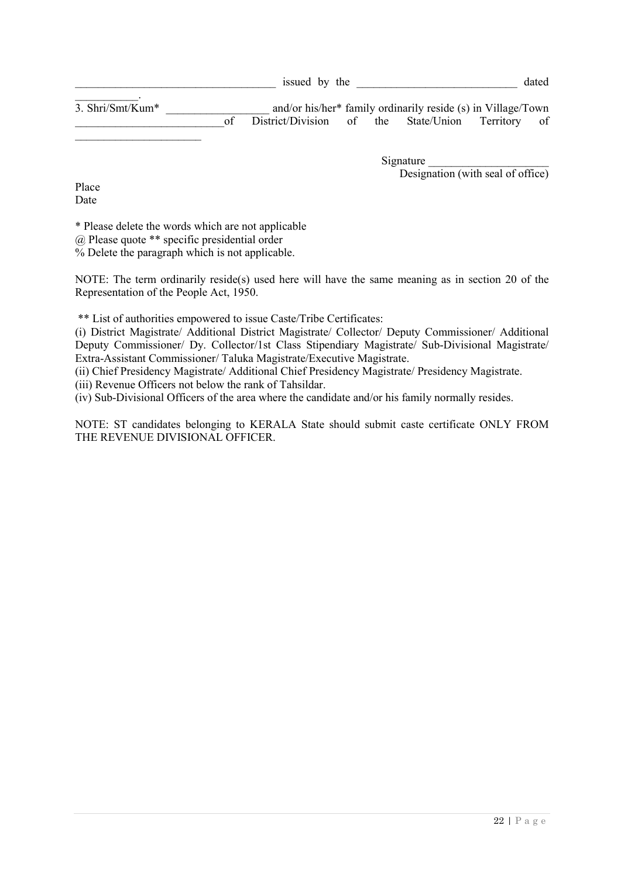$\overline{3. \text{Shri} / \text{Smt} / \text{K} }$ um\* and/or his/her\* family ordinarily reside (s) in Village/Town<br>of District/Division of the State/Union Territory of District/Division of the State/Union Territory of

> Signature Designation (with seal of office)

Place Date

 $\frac{1}{2}$  ,  $\frac{1}{2}$  ,  $\frac{1}{2}$  ,  $\frac{1}{2}$  ,  $\frac{1}{2}$  ,  $\frac{1}{2}$  ,  $\frac{1}{2}$  ,  $\frac{1}{2}$  ,  $\frac{1}{2}$  ,  $\frac{1}{2}$  ,  $\frac{1}{2}$  ,  $\frac{1}{2}$  ,  $\frac{1}{2}$  ,  $\frac{1}{2}$  ,  $\frac{1}{2}$  ,  $\frac{1}{2}$  ,  $\frac{1}{2}$  ,  $\frac{1}{2}$  ,  $\frac{1$ 

\* Please delete the words which are not applicable

@ Please quote \*\* specific presidential order

% Delete the paragraph which is not applicable.

NOTE: The term ordinarily reside(s) used here will have the same meaning as in section 20 of the Representation of the People Act, 1950.

\*\* List of authorities empowered to issue Caste/Tribe Certificates:

(i) District Magistrate/ Additional District Magistrate/ Collector/ Deputy Commissioner/ Additional Deputy Commissioner/ Dy. Collector/1st Class Stipendiary Magistrate/ Sub-Divisional Magistrate/ Extra-Assistant Commissioner/ Taluka Magistrate/Executive Magistrate.

(ii) Chief Presidency Magistrate/ Additional Chief Presidency Magistrate/ Presidency Magistrate.

(iii) Revenue Officers not below the rank of Tahsildar.

(iv) Sub-Divisional Officers of the area where the candidate and/or his family normally resides.

NOTE: ST candidates belonging to KERALA State should submit caste certificate ONLY FROM THE REVENUE DIVISIONAL OFFICER.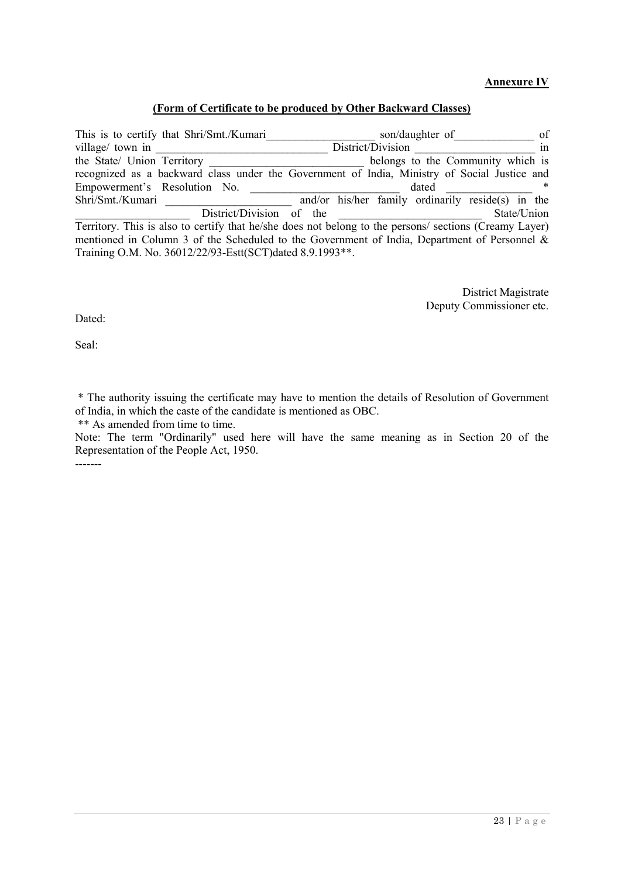#### **Annexure IV**

#### **(Form of Certificate to be produced by Other Backward Classes)**

This is to certify that Shri/Smt./Kumari<br>of son/daughter of of village/ town in \_\_\_\_\_\_\_\_\_\_\_\_\_\_\_\_\_\_\_\_\_\_\_\_\_\_\_\_\_\_ District/Division \_\_\_\_\_\_\_\_\_\_\_\_\_\_\_\_\_\_\_\_\_ in belongs to the Community which is recognized as a backward class under the Government of India, Ministry of Social Justice and Empowerment's Resolution No. \_\_\_\_\_\_\_\_\_\_\_\_\_\_\_\_\_\_\_\_\_\_\_\_\_\_ dated \_\_\_\_\_\_\_\_\_\_\_\_\_\_\_ \*  $\overline{\text{and/or his/her family ordinary residue(s) in}}$  the District/Division of the 2003 State/Union State/Union Territory. This is also to certify that he/she does not belong to the persons/ sections (Creamy Layer) mentioned in Column 3 of the Scheduled to the Government of India, Department of Personnel & Training O.M. No. 36012/22/93-Estt(SCT)dated 8.9.1993\*\*.

> District Magistrate Deputy Commissioner etc.

Dated:

Seal:

\* The authority issuing the certificate may have to mention the details of Resolution of Government of India, in which the caste of the candidate is mentioned as OBC.

\*\* As amended from time to time.

Note: The term "Ordinarily" used here will have the same meaning as in Section 20 of the Representation of the People Act, 1950. -------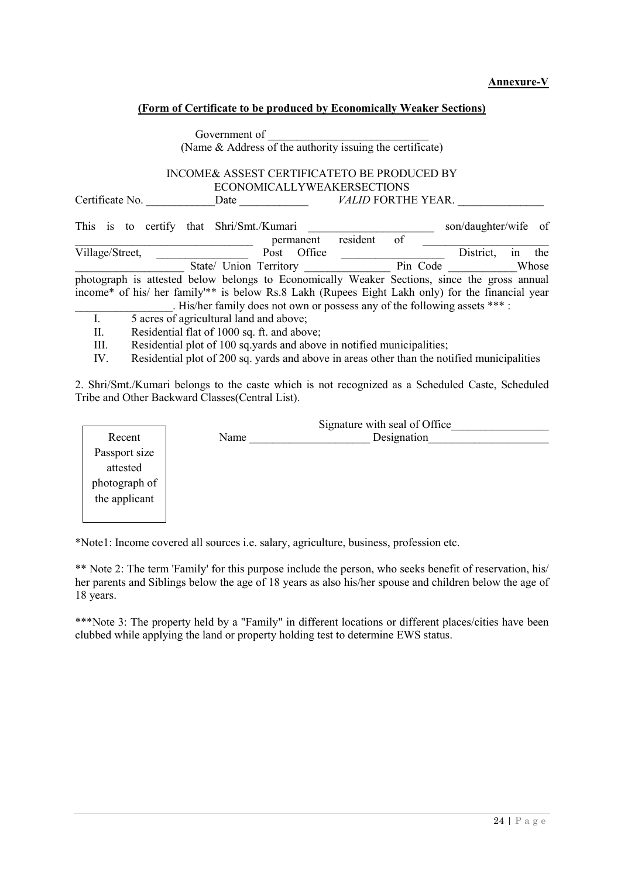#### **Annexure-V**

#### **(Form of Certificate to be produced by Economically Weaker Sections)**

| Government of                                                                                    |                                                           |          |                           |                      |    |       |
|--------------------------------------------------------------------------------------------------|-----------------------------------------------------------|----------|---------------------------|----------------------|----|-------|
|                                                                                                  | (Name & Address of the authority issuing the certificate) |          |                           |                      |    |       |
|                                                                                                  |                                                           |          |                           |                      |    |       |
| INCOME& ASSEST CERTIFICATETO BE PRODUCED BY                                                      |                                                           |          |                           |                      |    |       |
|                                                                                                  | <b>ECONOMICALLYWEAKERSECTIONS</b>                         |          |                           |                      |    |       |
| Certificate No.<br>Date                                                                          |                                                           |          | <b>VALID FORTHE YEAR.</b> |                      |    |       |
|                                                                                                  |                                                           |          |                           |                      |    |       |
| This is to certify that Shri/Smt./Kumari                                                         |                                                           |          |                           | son/daughter/wife of |    |       |
|                                                                                                  | permanent                                                 | resident | of                        |                      |    |       |
| Village/Street,                                                                                  | Office<br>Post                                            |          |                           | District.            | 1n | the   |
| State/ Union Territory                                                                           |                                                           |          | Pin Code                  |                      |    | Whose |
| photograph is attested below belongs to Economically Weaker Sections, since the gross annual     |                                                           |          |                           |                      |    |       |
| income* of his/ her family ** is below Rs.8 Lakh (Rupees Eight Lakh only) for the financial year |                                                           |          |                           |                      |    |       |
| . His/her family does not own or possess any of the following assets *** :                       |                                                           |          |                           |                      |    |       |
| 5 acres of agricultural land and above;<br>I.                                                    |                                                           |          |                           |                      |    |       |
| Residential flat of 1000 sq. ft. and above;<br>П.                                                |                                                           |          |                           |                      |    |       |
| Residential plot of 100 sq.yards and above in notified municipalities;<br>III.                   |                                                           |          |                           |                      |    |       |

IV. Residential plot of 200 sq. yards and above in areas other than the notified municipalities

2. Shri/Smt./Kumari belongs to the caste which is not recognized as a Scheduled Caste, Scheduled Tribe and Other Backward Classes(Central List).

|               |      | Signature with seal of Office |  |  |  |
|---------------|------|-------------------------------|--|--|--|
| Recent        | Name | Designation                   |  |  |  |
| Passport size |      |                               |  |  |  |
| attested      |      |                               |  |  |  |
| photograph of |      |                               |  |  |  |
| the applicant |      |                               |  |  |  |
|               |      |                               |  |  |  |

\*Note1: Income covered all sources i.e. salary, agriculture, business, profession etc.

\*\* Note 2: The term 'Family' for this purpose include the person, who seeks benefit of reservation, his/ her parents and Siblings below the age of 18 years as also his/her spouse and children below the age of 18 years.

\*\*\*Note 3: The property held by a "Family" in different locations or different places/cities have been clubbed while applying the land or property holding test to determine EWS status.